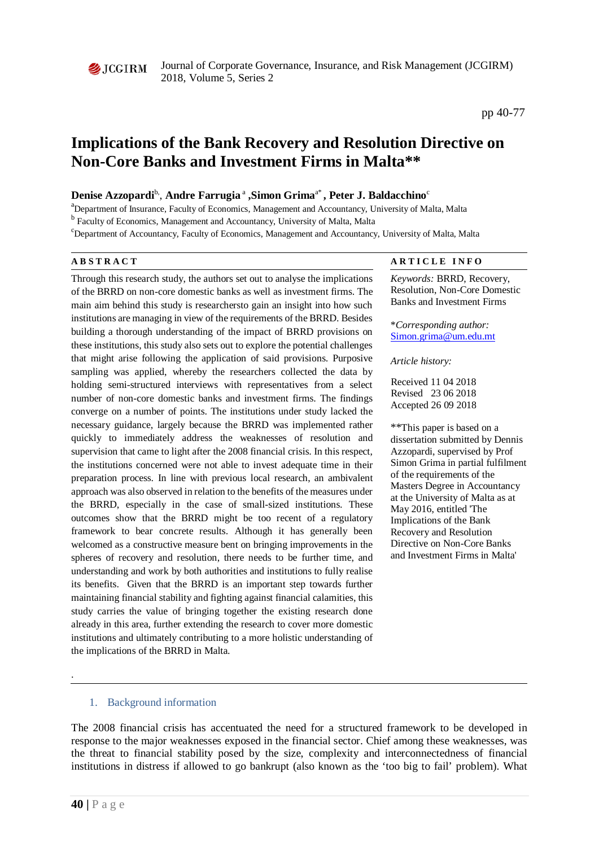

Journal of Corporate Governance, Insurance, and Risk Management (JCGIRM) 2018, Volume 5, Series 2

# **Implications of the Bank Recovery and Resolution Directive on Non-Core Banks and Investment Firms in Malta\*\***

#### **Denise Azzopardi**b, , **Andre Farrugia** <sup>a</sup> **,Simon Grima**a\* **, Peter J. Baldacchino**<sup>c</sup>

<sup>a</sup>Department of Insurance, Faculty of Economics, Management and Accountancy, University of Malta, Malta

<sup>b</sup> Faculty of Economics, Management and Accountancy, University of Malta, Malta

c Department of Accountancy, Faculty of Economics, Management and Accountancy, University of Malta, Malta

Through this research study, the authors set out to analyse the implications of the BRRD on non-core domestic banks as well as investment firms. The main aim behind this study is researchersto gain an insight into how such institutions are managing in view of the requirements of the BRRD. Besides building a thorough understanding of the impact of BRRD provisions on these institutions, this study also sets out to explore the potential challenges that might arise following the application of said provisions. Purposive sampling was applied, whereby the researchers collected the data by holding semi-structured interviews with representatives from a select number of non-core domestic banks and investment firms. The findings converge on a number of points. The institutions under study lacked the necessary guidance, largely because the BRRD was implemented rather quickly to immediately address the weaknesses of resolution and supervision that came to light after the 2008 financial crisis. In this respect, the institutions concerned were not able to invest adequate time in their preparation process. In line with previous local research, an ambivalent approach was also observed in relation to the benefits of the measures under the BRRD, especially in the case of small-sized institutions. These outcomes show that the BRRD might be too recent of a regulatory framework to bear concrete results. Although it has generally been welcomed as a constructive measure bent on bringing improvements in the spheres of recovery and resolution, there needs to be further time, and understanding and work by both authorities and institutions to fully realise its benefits. Given that the BRRD is an important step towards further maintaining financial stability and fighting against financial calamities, this study carries the value of bringing together the existing research done already in this area, further extending the research to cover more domestic institutions and ultimately contributing to a more holistic understanding of the implications of the BRRD in Malta.

#### **A B S T R A C T A R T I C L E I N F O**

*Keywords:* BRRD, Recovery, Resolution, Non-Core Domestic Banks and Investment Firms

\**Corresponding author:*  [Simon.grima@um.edu.mt](mailto:Simon.grima@um.edu.mt)

*Article history:* 

Received 11 04 2018 Revised 23 06 2018 Accepted 26 09 2018

\*\*This paper is based on a dissertation submitted by Dennis Azzopardi, supervised by Prof Simon Grima in partial fulfilment of the requirements of the Masters Degree in Accountancy at the University of Malta as at May 2016, entitled 'The Implications of the Bank Recovery and Resolution Directive on Non-Core Banks and Investment Firms in Malta'

#### 1. Background information

The 2008 financial crisis has accentuated the need for a structured framework to be developed in response to the major weaknesses exposed in the financial sector. Chief among these weaknesses, was the threat to financial stability posed by the size, complexity and interconnectedness of financial institutions in distress if allowed to go bankrupt (also known as the 'too big to fail' problem). What

.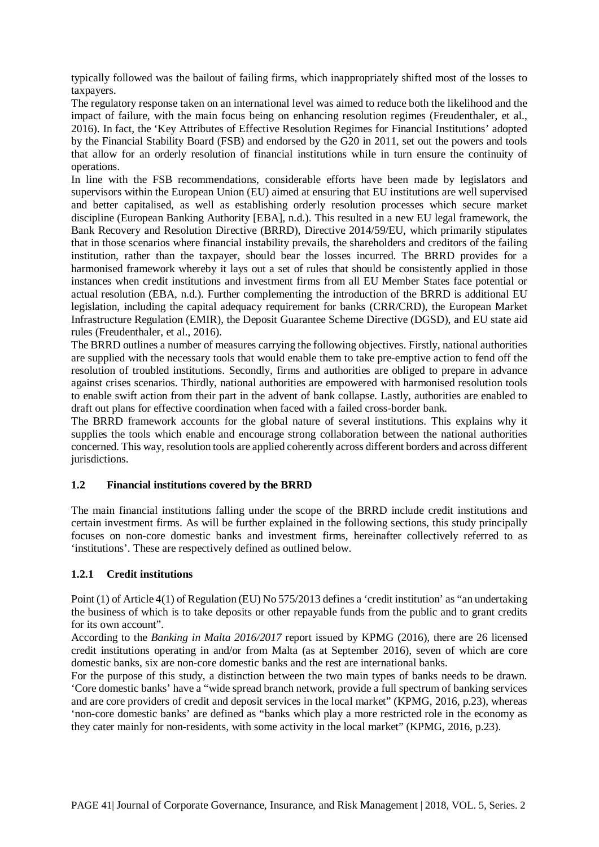typically followed was the bailout of failing firms, which inappropriately shifted most of the losses to taxpayers.

The regulatory response taken on an international level was aimed to reduce both the likelihood and the impact of failure, with the main focus being on enhancing resolution regimes (Freudenthaler, et al., 2016). In fact, the 'Key Attributes of Effective Resolution Regimes for Financial Institutions' adopted by the Financial Stability Board (FSB) and endorsed by the G20 in 2011, set out the powers and tools that allow for an orderly resolution of financial institutions while in turn ensure the continuity of operations.

In line with the FSB recommendations, considerable efforts have been made by legislators and supervisors within the European Union (EU) aimed at ensuring that EU institutions are well supervised and better capitalised, as well as establishing orderly resolution processes which secure market discipline (European Banking Authority [EBA], n.d.). This resulted in a new EU legal framework, the Bank Recovery and Resolution Directive (BRRD), Directive 2014/59/EU, which primarily stipulates that in those scenarios where financial instability prevails, the shareholders and creditors of the failing institution, rather than the taxpayer, should bear the losses incurred. The BRRD provides for a harmonised framework whereby it lays out a set of rules that should be consistently applied in those instances when credit institutions and investment firms from all EU Member States face potential or actual resolution (EBA, n.d.). Further complementing the introduction of the BRRD is additional EU legislation, including the capital adequacy requirement for banks (CRR/CRD), the European Market Infrastructure Regulation (EMIR), the Deposit Guarantee Scheme Directive (DGSD), and EU state aid rules (Freudenthaler, et al., 2016).

The BRRD outlines a number of measures carrying the following objectives. Firstly, national authorities are supplied with the necessary tools that would enable them to take pre-emptive action to fend off the resolution of troubled institutions. Secondly, firms and authorities are obliged to prepare in advance against crises scenarios. Thirdly, national authorities are empowered with harmonised resolution tools to enable swift action from their part in the advent of bank collapse. Lastly, authorities are enabled to draft out plans for effective coordination when faced with a failed cross-border bank.

The BRRD framework accounts for the global nature of several institutions. This explains why it supplies the tools which enable and encourage strong collaboration between the national authorities concerned. This way, resolution tools are applied coherently across different borders and across different jurisdictions.

# **1.2 Financial institutions covered by the BRRD**

The main financial institutions falling under the scope of the BRRD include credit institutions and certain investment firms. As will be further explained in the following sections, this study principally focuses on non-core domestic banks and investment firms, hereinafter collectively referred to as 'institutions'. These are respectively defined as outlined below.

# **1.2.1 Credit institutions**

Point (1) of Article 4(1) of Regulation (EU) No 575/2013 defines a 'credit institution' as "an undertaking the business of which is to take deposits or other repayable funds from the public and to grant credits for its own account".

According to the *Banking in Malta 2016/2017* report issued by KPMG (2016), there are 26 licensed credit institutions operating in and/or from Malta (as at September 2016), seven of which are core domestic banks, six are non-core domestic banks and the rest are international banks.

For the purpose of this study, a distinction between the two main types of banks needs to be drawn. 'Core domestic banks' have a "wide spread branch network, provide a full spectrum of banking services and are core providers of credit and deposit services in the local market" (KPMG, 2016, p.23), whereas 'non-core domestic banks' are defined as "banks which play a more restricted role in the economy as they cater mainly for non-residents, with some activity in the local market" (KPMG, 2016, p.23).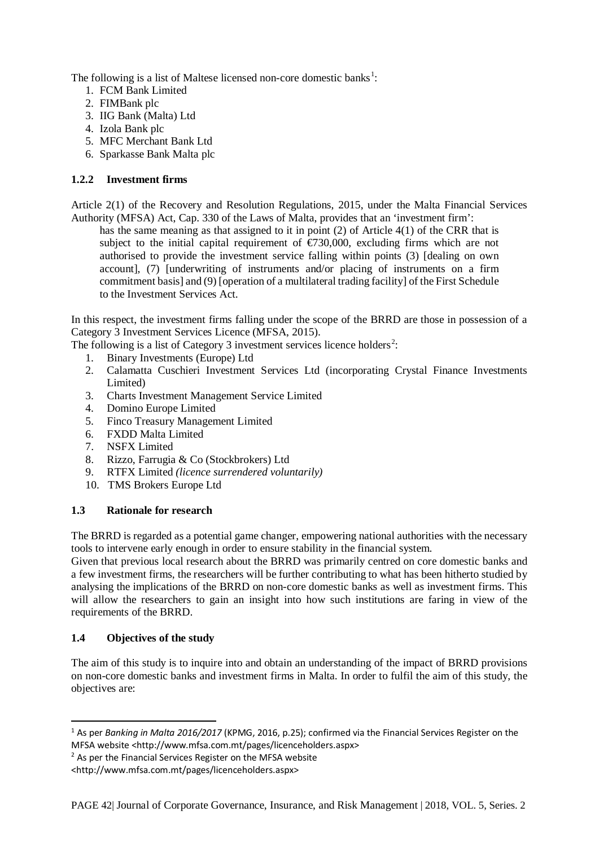The following is a list of Maltese licensed non-core domestic banks<sup>[1](#page-2-0)</sup>:

- 1. FCM Bank Limited
- 2. FIMBank plc
- 3. IIG Bank (Malta) Ltd
- 4. Izola Bank plc
- 5. MFC Merchant Bank Ltd
- 6. Sparkasse Bank Malta plc

# **1.2.2 Investment firms**

Article 2(1) of the Recovery and Resolution Regulations, 2015, under the Malta Financial Services Authority (MFSA) Act, Cap. 330 of the Laws of Malta, provides that an 'investment firm':

has the same meaning as that assigned to it in point (2) of Article 4(1) of the CRR that is subject to the initial capital requirement of  $\epsilon$ 730,000, excluding firms which are not authorised to provide the investment service falling within points (3) [dealing on own account], (7) [underwriting of instruments and/or placing of instruments on a firm commitment basis] and (9) [operation of a multilateral trading facility] of the First Schedule to the Investment Services Act.

In this respect, the investment firms falling under the scope of the BRRD are those in possession of a Category 3 Investment Services Licence (MFSA, 2015).

The following is a list of Category 3 investment services licence holders<sup>[2](#page-2-1)</sup>:

- 1. Binary Investments (Europe) Ltd
- 2. Calamatta Cuschieri Investment Services Ltd (incorporating Crystal Finance Investments Limited)
- 3. Charts Investment Management Service Limited
- 4. Domino Europe Limited
- 5. Finco Treasury Management Limited
- 6. FXDD Malta Limited
- 7. NSFX Limited
- 8. Rizzo, Farrugia & Co (Stockbrokers) Ltd
- 9. RTFX Limited *(licence surrendered voluntarily)*
- 10. TMS Brokers Europe Ltd

# **1.3 Rationale for research**

The BRRD is regarded as a potential game changer, empowering national authorities with the necessary tools to intervene early enough in order to ensure stability in the financial system.

Given that previous local research about the BRRD was primarily centred on core domestic banks and a few investment firms, the researchers will be further contributing to what has been hitherto studied by analysing the implications of the BRRD on non-core domestic banks as well as investment firms. This will allow the researchers to gain an insight into how such institutions are faring in view of the requirements of the BRRD.

# **1.4 Objectives of the study**

The aim of this study is to inquire into and obtain an understanding of the impact of BRRD provisions on non-core domestic banks and investment firms in Malta. In order to fulfil the aim of this study, the objectives are:

<span id="page-2-0"></span> <sup>1</sup> As per *Banking in Malta 2016/2017* (KPMG, 2016, p.25); confirmed via the Financial Services Register on the MFSA website <http://www.mfsa.com.mt/pages/licenceholders.aspx>

<span id="page-2-1"></span><sup>&</sup>lt;sup>2</sup> As per the Financial Services Register on the MFSA website

<sup>&</sup>lt;http://www.mfsa.com.mt/pages/licenceholders.aspx>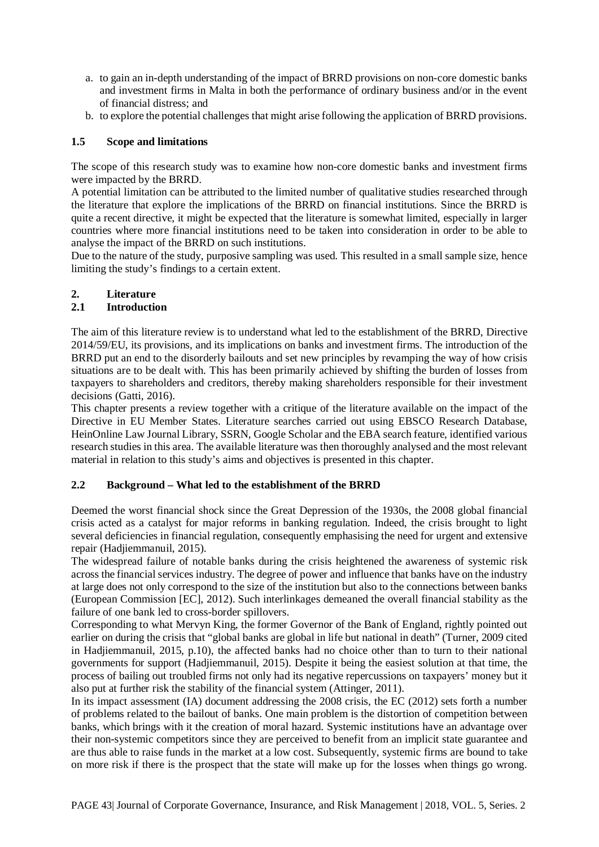- a. to gain an in-depth understanding of the impact of BRRD provisions on non-core domestic banks and investment firms in Malta in both the performance of ordinary business and/or in the event of financial distress; and
- b. to explore the potential challenges that might arise following the application of BRRD provisions.

#### **1.5 Scope and limitations**

The scope of this research study was to examine how non-core domestic banks and investment firms were impacted by the BRRD.

A potential limitation can be attributed to the limited number of qualitative studies researched through the literature that explore the implications of the BRRD on financial institutions. Since the BRRD is quite a recent directive, it might be expected that the literature is somewhat limited, especially in larger countries where more financial institutions need to be taken into consideration in order to be able to analyse the impact of the BRRD on such institutions.

Due to the nature of the study, purposive sampling was used. This resulted in a small sample size, hence limiting the study's findings to a certain extent.

#### **2. Literature**

#### **2.1 Introduction**

The aim of this literature review is to understand what led to the establishment of the BRRD, Directive 2014/59/EU, its provisions, and its implications on banks and investment firms. The introduction of the BRRD put an end to the disorderly bailouts and set new principles by revamping the way of how crisis situations are to be dealt with. This has been primarily achieved by shifting the burden of losses from taxpayers to shareholders and creditors, thereby making shareholders responsible for their investment decisions (Gatti, 2016).

This chapter presents a review together with a critique of the literature available on the impact of the Directive in EU Member States. Literature searches carried out using EBSCO Research Database, HeinOnline Law Journal Library, SSRN, Google Scholar and the EBA search feature, identified various research studies in this area. The available literature was then thoroughly analysed and the most relevant material in relation to this study's aims and objectives is presented in this chapter.

#### **2.2 Background – What led to the establishment of the BRRD**

Deemed the worst financial shock since the Great Depression of the 1930s, the 2008 global financial crisis acted as a catalyst for major reforms in banking regulation. Indeed, the crisis brought to light several deficiencies in financial regulation, consequently emphasising the need for urgent and extensive repair (Hadjiemmanuil, 2015).

The widespread failure of notable banks during the crisis heightened the awareness of systemic risk across the financial services industry. The degree of power and influence that banks have on the industry at large does not only correspond to the size of the institution but also to the connections between banks (European Commission [EC], 2012). Such interlinkages demeaned the overall financial stability as the failure of one bank led to cross-border spillovers.

Corresponding to what Mervyn King, the former Governor of the Bank of England, rightly pointed out earlier on during the crisis that "global banks are global in life but national in death" (Turner, 2009 cited in Hadjiemmanuil, 2015, p.10), the affected banks had no choice other than to turn to their national governments for support (Hadjiemmanuil, 2015). Despite it being the easiest solution at that time, the process of bailing out troubled firms not only had its negative repercussions on taxpayers' money but it also put at further risk the stability of the financial system (Attinger, 2011).

In its impact assessment (IA) document addressing the 2008 crisis, the EC (2012) sets forth a number of problems related to the bailout of banks. One main problem is the distortion of competition between banks, which brings with it the creation of moral hazard. Systemic institutions have an advantage over their non-systemic competitors since they are perceived to benefit from an implicit state guarantee and are thus able to raise funds in the market at a low cost. Subsequently, systemic firms are bound to take on more risk if there is the prospect that the state will make up for the losses when things go wrong.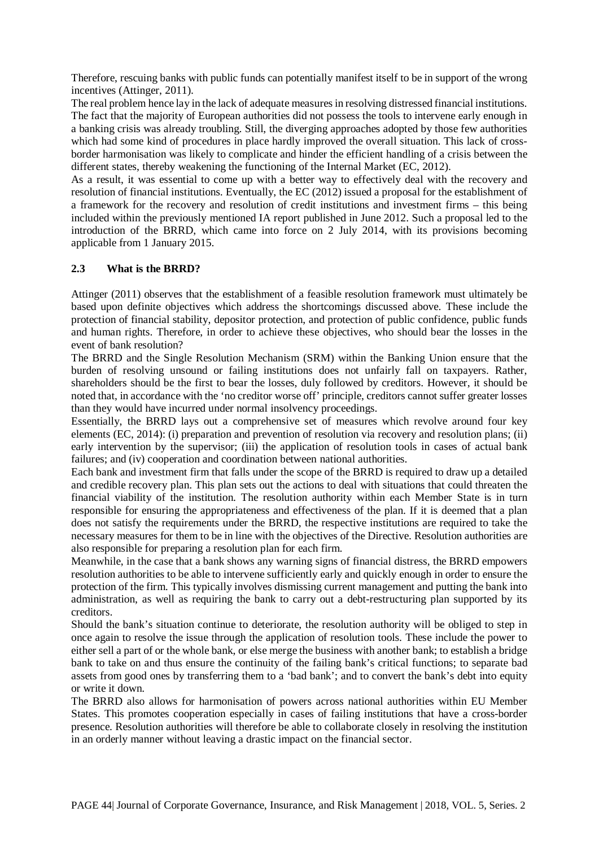Therefore, rescuing banks with public funds can potentially manifest itself to be in support of the wrong incentives (Attinger, 2011).

The real problem hence lay in the lack of adequate measures in resolving distressed financial institutions. The fact that the majority of European authorities did not possess the tools to intervene early enough in a banking crisis was already troubling. Still, the diverging approaches adopted by those few authorities which had some kind of procedures in place hardly improved the overall situation. This lack of crossborder harmonisation was likely to complicate and hinder the efficient handling of a crisis between the different states, thereby weakening the functioning of the Internal Market (EC, 2012).

As a result, it was essential to come up with a better way to effectively deal with the recovery and resolution of financial institutions. Eventually, the EC (2012) issued a proposal for the establishment of a framework for the recovery and resolution of credit institutions and investment firms – this being included within the previously mentioned IA report published in June 2012. Such a proposal led to the introduction of the BRRD, which came into force on 2 July 2014, with its provisions becoming applicable from 1 January 2015.

#### **2.3 What is the BRRD?**

Attinger (2011) observes that the establishment of a feasible resolution framework must ultimately be based upon definite objectives which address the shortcomings discussed above. These include the protection of financial stability, depositor protection, and protection of public confidence, public funds and human rights. Therefore, in order to achieve these objectives, who should bear the losses in the event of bank resolution?

The BRRD and the Single Resolution Mechanism (SRM) within the Banking Union ensure that the burden of resolving unsound or failing institutions does not unfairly fall on taxpayers. Rather, shareholders should be the first to bear the losses, duly followed by creditors. However, it should be noted that, in accordance with the 'no creditor worse off' principle, creditors cannot suffer greater losses than they would have incurred under normal insolvency proceedings.

Essentially, the BRRD lays out a comprehensive set of measures which revolve around four key elements (EC, 2014): (i) preparation and prevention of resolution via recovery and resolution plans; (ii) early intervention by the supervisor; (iii) the application of resolution tools in cases of actual bank failures; and (iv) cooperation and coordination between national authorities.

Each bank and investment firm that falls under the scope of the BRRD is required to draw up a detailed and credible recovery plan. This plan sets out the actions to deal with situations that could threaten the financial viability of the institution. The resolution authority within each Member State is in turn responsible for ensuring the appropriateness and effectiveness of the plan. If it is deemed that a plan does not satisfy the requirements under the BRRD, the respective institutions are required to take the necessary measures for them to be in line with the objectives of the Directive. Resolution authorities are also responsible for preparing a resolution plan for each firm.

Meanwhile, in the case that a bank shows any warning signs of financial distress, the BRRD empowers resolution authorities to be able to intervene sufficiently early and quickly enough in order to ensure the protection of the firm. This typically involves dismissing current management and putting the bank into administration, as well as requiring the bank to carry out a debt-restructuring plan supported by its creditors.

Should the bank's situation continue to deteriorate, the resolution authority will be obliged to step in once again to resolve the issue through the application of resolution tools. These include the power to either sell a part of or the whole bank, or else merge the business with another bank; to establish a bridge bank to take on and thus ensure the continuity of the failing bank's critical functions; to separate bad assets from good ones by transferring them to a 'bad bank'; and to convert the bank's debt into equity or write it down.

The BRRD also allows for harmonisation of powers across national authorities within EU Member States. This promotes cooperation especially in cases of failing institutions that have a cross-border presence. Resolution authorities will therefore be able to collaborate closely in resolving the institution in an orderly manner without leaving a drastic impact on the financial sector.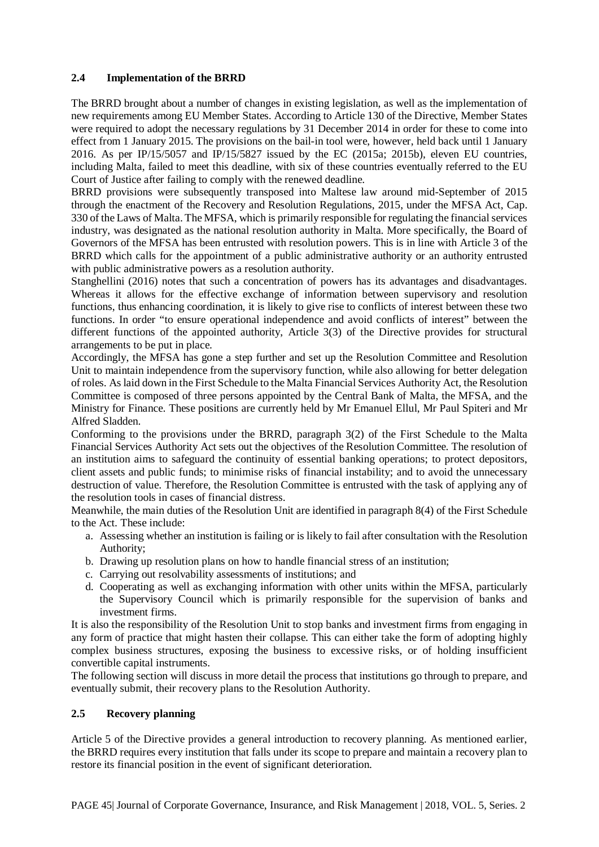#### **2.4 Implementation of the BRRD**

The BRRD brought about a number of changes in existing legislation, as well as the implementation of new requirements among EU Member States. According to Article 130 of the Directive, Member States were required to adopt the necessary regulations by 31 December 2014 in order for these to come into effect from 1 January 2015. The provisions on the bail-in tool were, however, held back until 1 January 2016. As per IP/15/5057 and IP/15/5827 issued by the EC (2015a; 2015b), eleven EU countries, including Malta, failed to meet this deadline, with six of these countries eventually referred to the EU Court of Justice after failing to comply with the renewed deadline.

BRRD provisions were subsequently transposed into Maltese law around mid-September of 2015 through the enactment of the Recovery and Resolution Regulations, 2015, under the MFSA Act, Cap. 330 of the Laws of Malta. The MFSA, which is primarily responsible for regulating the financial services industry, was designated as the national resolution authority in Malta. More specifically, the Board of Governors of the MFSA has been entrusted with resolution powers. This is in line with Article 3 of the BRRD which calls for the appointment of a public administrative authority or an authority entrusted with public administrative powers as a resolution authority.

Stanghellini (2016) notes that such a concentration of powers has its advantages and disadvantages. Whereas it allows for the effective exchange of information between supervisory and resolution functions, thus enhancing coordination, it is likely to give rise to conflicts of interest between these two functions. In order "to ensure operational independence and avoid conflicts of interest" between the different functions of the appointed authority, Article 3(3) of the Directive provides for structural arrangements to be put in place.

Accordingly, the MFSA has gone a step further and set up the Resolution Committee and Resolution Unit to maintain independence from the supervisory function, while also allowing for better delegation of roles. As laid down in the First Schedule to the Malta Financial Services Authority Act, the Resolution Committee is composed of three persons appointed by the Central Bank of Malta, the MFSA, and the Ministry for Finance. These positions are currently held by Mr Emanuel Ellul, Mr Paul Spiteri and Mr Alfred Sladden.

Conforming to the provisions under the BRRD, paragraph 3(2) of the First Schedule to the Malta Financial Services Authority Act sets out the objectives of the Resolution Committee. The resolution of an institution aims to safeguard the continuity of essential banking operations; to protect depositors, client assets and public funds; to minimise risks of financial instability; and to avoid the unnecessary destruction of value. Therefore, the Resolution Committee is entrusted with the task of applying any of the resolution tools in cases of financial distress.

Meanwhile, the main duties of the Resolution Unit are identified in paragraph 8(4) of the First Schedule to the Act. These include:

- a. Assessing whether an institution is failing or is likely to fail after consultation with the Resolution Authority;
- b. Drawing up resolution plans on how to handle financial stress of an institution;
- c. Carrying out resolvability assessments of institutions; and
- d. Cooperating as well as exchanging information with other units within the MFSA, particularly the Supervisory Council which is primarily responsible for the supervision of banks and investment firms.

It is also the responsibility of the Resolution Unit to stop banks and investment firms from engaging in any form of practice that might hasten their collapse. This can either take the form of adopting highly complex business structures, exposing the business to excessive risks, or of holding insufficient convertible capital instruments.

The following section will discuss in more detail the process that institutions go through to prepare, and eventually submit, their recovery plans to the Resolution Authority.

#### **2.5 Recovery planning**

Article 5 of the Directive provides a general introduction to recovery planning. As mentioned earlier, the BRRD requires every institution that falls under its scope to prepare and maintain a recovery plan to restore its financial position in the event of significant deterioration.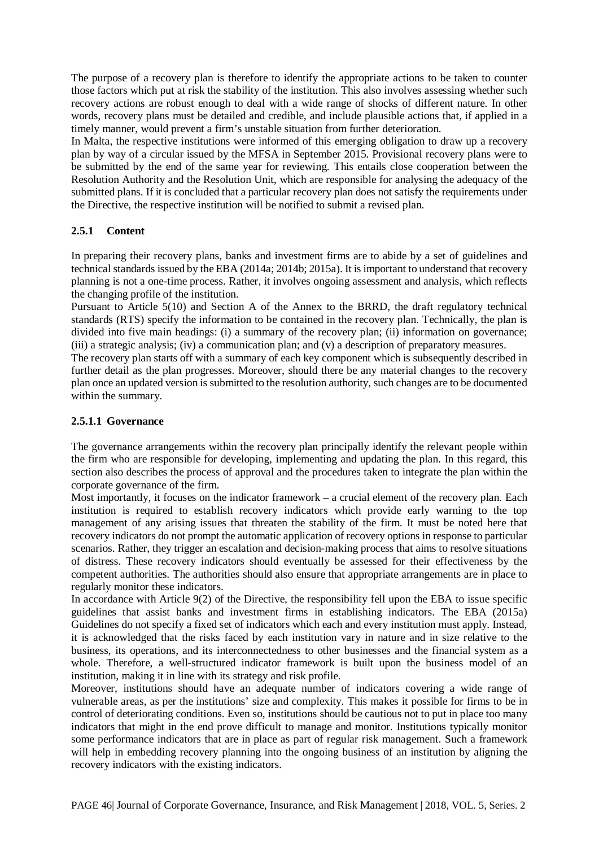The purpose of a recovery plan is therefore to identify the appropriate actions to be taken to counter those factors which put at risk the stability of the institution. This also involves assessing whether such recovery actions are robust enough to deal with a wide range of shocks of different nature. In other words, recovery plans must be detailed and credible, and include plausible actions that, if applied in a timely manner, would prevent a firm's unstable situation from further deterioration.

In Malta, the respective institutions were informed of this emerging obligation to draw up a recovery plan by way of a circular issued by the MFSA in September 2015. Provisional recovery plans were to be submitted by the end of the same year for reviewing. This entails close cooperation between the Resolution Authority and the Resolution Unit, which are responsible for analysing the adequacy of the submitted plans. If it is concluded that a particular recovery plan does not satisfy the requirements under the Directive, the respective institution will be notified to submit a revised plan.

# **2.5.1 Content**

In preparing their recovery plans, banks and investment firms are to abide by a set of guidelines and technical standards issued by the EBA (2014a; 2014b; 2015a). It is important to understand that recovery planning is not a one-time process. Rather, it involves ongoing assessment and analysis, which reflects the changing profile of the institution.

Pursuant to Article 5(10) and Section A of the Annex to the BRRD, the draft regulatory technical standards (RTS) specify the information to be contained in the recovery plan. Technically, the plan is divided into five main headings: (i) a summary of the recovery plan; (ii) information on governance; (iii) a strategic analysis; (iv) a communication plan; and (v) a description of preparatory measures.

The recovery plan starts off with a summary of each key component which is subsequently described in further detail as the plan progresses. Moreover, should there be any material changes to the recovery plan once an updated version is submitted to the resolution authority, such changes are to be documented within the summary.

#### **2.5.1.1 Governance**

The governance arrangements within the recovery plan principally identify the relevant people within the firm who are responsible for developing, implementing and updating the plan. In this regard, this section also describes the process of approval and the procedures taken to integrate the plan within the corporate governance of the firm.

Most importantly, it focuses on the indicator framework – a crucial element of the recovery plan. Each institution is required to establish recovery indicators which provide early warning to the top management of any arising issues that threaten the stability of the firm. It must be noted here that recovery indicators do not prompt the automatic application of recovery options in response to particular scenarios. Rather, they trigger an escalation and decision-making process that aims to resolve situations of distress. These recovery indicators should eventually be assessed for their effectiveness by the competent authorities. The authorities should also ensure that appropriate arrangements are in place to regularly monitor these indicators.

In accordance with Article 9(2) of the Directive, the responsibility fell upon the EBA to issue specific guidelines that assist banks and investment firms in establishing indicators. The EBA (2015a) Guidelines do not specify a fixed set of indicators which each and every institution must apply. Instead, it is acknowledged that the risks faced by each institution vary in nature and in size relative to the business, its operations, and its interconnectedness to other businesses and the financial system as a whole. Therefore, a well-structured indicator framework is built upon the business model of an institution, making it in line with its strategy and risk profile.

Moreover, institutions should have an adequate number of indicators covering a wide range of vulnerable areas, as per the institutions' size and complexity. This makes it possible for firms to be in control of deteriorating conditions. Even so, institutions should be cautious not to put in place too many indicators that might in the end prove difficult to manage and monitor. Institutions typically monitor some performance indicators that are in place as part of regular risk management. Such a framework will help in embedding recovery planning into the ongoing business of an institution by aligning the recovery indicators with the existing indicators.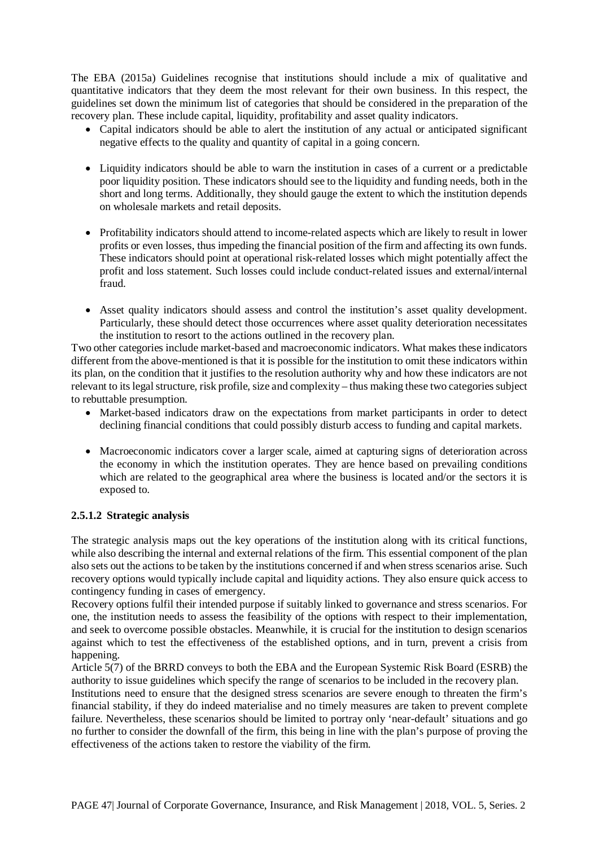The EBA (2015a) Guidelines recognise that institutions should include a mix of qualitative and quantitative indicators that they deem the most relevant for their own business. In this respect, the guidelines set down the minimum list of categories that should be considered in the preparation of the recovery plan. These include capital, liquidity, profitability and asset quality indicators.

- Capital indicators should be able to alert the institution of any actual or anticipated significant negative effects to the quality and quantity of capital in a going concern.
- Liquidity indicators should be able to warn the institution in cases of a current or a predictable poor liquidity position. These indicators should see to the liquidity and funding needs, both in the short and long terms. Additionally, they should gauge the extent to which the institution depends on wholesale markets and retail deposits.
- Profitability indicators should attend to income-related aspects which are likely to result in lower profits or even losses, thus impeding the financial position of the firm and affecting its own funds. These indicators should point at operational risk-related losses which might potentially affect the profit and loss statement. Such losses could include conduct-related issues and external/internal fraud.
- Asset quality indicators should assess and control the institution's asset quality development. Particularly, these should detect those occurrences where asset quality deterioration necessitates the institution to resort to the actions outlined in the recovery plan.

Two other categories include market-based and macroeconomic indicators. What makes these indicators different from the above-mentioned is that it is possible for the institution to omit these indicators within its plan, on the condition that it justifies to the resolution authority why and how these indicators are not relevant to its legal structure, risk profile, size and complexity – thus making these two categories subject to rebuttable presumption.

- Market-based indicators draw on the expectations from market participants in order to detect declining financial conditions that could possibly disturb access to funding and capital markets.
- Macroeconomic indicators cover a larger scale, aimed at capturing signs of deterioration across the economy in which the institution operates. They are hence based on prevailing conditions which are related to the geographical area where the business is located and/or the sectors it is exposed to.

# **2.5.1.2 Strategic analysis**

The strategic analysis maps out the key operations of the institution along with its critical functions, while also describing the internal and external relations of the firm. This essential component of the plan also sets out the actions to be taken by the institutions concerned if and when stress scenarios arise. Such recovery options would typically include capital and liquidity actions. They also ensure quick access to contingency funding in cases of emergency.

Recovery options fulfil their intended purpose if suitably linked to governance and stress scenarios. For one, the institution needs to assess the feasibility of the options with respect to their implementation, and seek to overcome possible obstacles. Meanwhile, it is crucial for the institution to design scenarios against which to test the effectiveness of the established options, and in turn, prevent a crisis from happening.

Article 5(7) of the BRRD conveys to both the EBA and the European Systemic Risk Board (ESRB) the authority to issue guidelines which specify the range of scenarios to be included in the recovery plan.

Institutions need to ensure that the designed stress scenarios are severe enough to threaten the firm's financial stability, if they do indeed materialise and no timely measures are taken to prevent complete failure. Nevertheless, these scenarios should be limited to portray only 'near-default' situations and go no further to consider the downfall of the firm, this being in line with the plan's purpose of proving the effectiveness of the actions taken to restore the viability of the firm.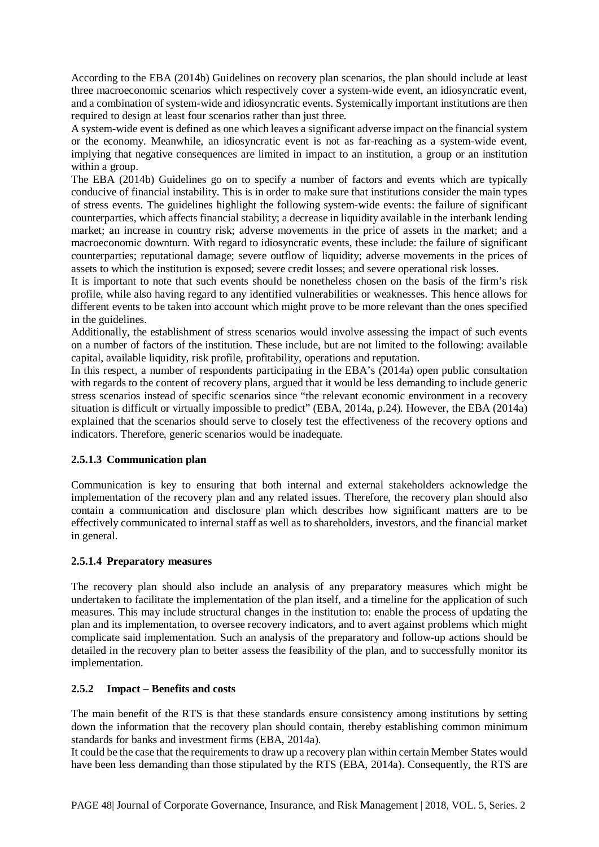According to the EBA (2014b) Guidelines on recovery plan scenarios, the plan should include at least three macroeconomic scenarios which respectively cover a system-wide event, an idiosyncratic event, and a combination of system-wide and idiosyncratic events. Systemically important institutions are then required to design at least four scenarios rather than just three.

A system-wide event is defined as one which leaves a significant adverse impact on the financial system or the economy. Meanwhile, an idiosyncratic event is not as far-reaching as a system-wide event, implying that negative consequences are limited in impact to an institution, a group or an institution within a group.

The EBA (2014b) Guidelines go on to specify a number of factors and events which are typically conducive of financial instability. This is in order to make sure that institutions consider the main types of stress events. The guidelines highlight the following system-wide events: the failure of significant counterparties, which affects financial stability; a decrease in liquidity available in the interbank lending market; an increase in country risk; adverse movements in the price of assets in the market; and a macroeconomic downturn. With regard to idiosyncratic events, these include: the failure of significant counterparties; reputational damage; severe outflow of liquidity; adverse movements in the prices of assets to which the institution is exposed; severe credit losses; and severe operational risk losses.

It is important to note that such events should be nonetheless chosen on the basis of the firm's risk profile, while also having regard to any identified vulnerabilities or weaknesses. This hence allows for different events to be taken into account which might prove to be more relevant than the ones specified in the guidelines.

Additionally, the establishment of stress scenarios would involve assessing the impact of such events on a number of factors of the institution. These include, but are not limited to the following: available capital, available liquidity, risk profile, profitability, operations and reputation.

In this respect, a number of respondents participating in the EBA's (2014a) open public consultation with regards to the content of recovery plans, argued that it would be less demanding to include generic stress scenarios instead of specific scenarios since "the relevant economic environment in a recovery situation is difficult or virtually impossible to predict" (EBA, 2014a, p.24). However, the EBA (2014a) explained that the scenarios should serve to closely test the effectiveness of the recovery options and indicators. Therefore, generic scenarios would be inadequate.

# **2.5.1.3 Communication plan**

Communication is key to ensuring that both internal and external stakeholders acknowledge the implementation of the recovery plan and any related issues. Therefore, the recovery plan should also contain a communication and disclosure plan which describes how significant matters are to be effectively communicated to internal staff as well as to shareholders, investors, and the financial market in general.

#### **2.5.1.4 Preparatory measures**

The recovery plan should also include an analysis of any preparatory measures which might be undertaken to facilitate the implementation of the plan itself, and a timeline for the application of such measures. This may include structural changes in the institution to: enable the process of updating the plan and its implementation, to oversee recovery indicators, and to avert against problems which might complicate said implementation. Such an analysis of the preparatory and follow-up actions should be detailed in the recovery plan to better assess the feasibility of the plan, and to successfully monitor its implementation.

#### **2.5.2 Impact – Benefits and costs**

The main benefit of the RTS is that these standards ensure consistency among institutions by setting down the information that the recovery plan should contain, thereby establishing common minimum standards for banks and investment firms (EBA, 2014a).

It could be the case that the requirements to draw up a recovery plan within certain Member States would have been less demanding than those stipulated by the RTS (EBA, 2014a). Consequently, the RTS are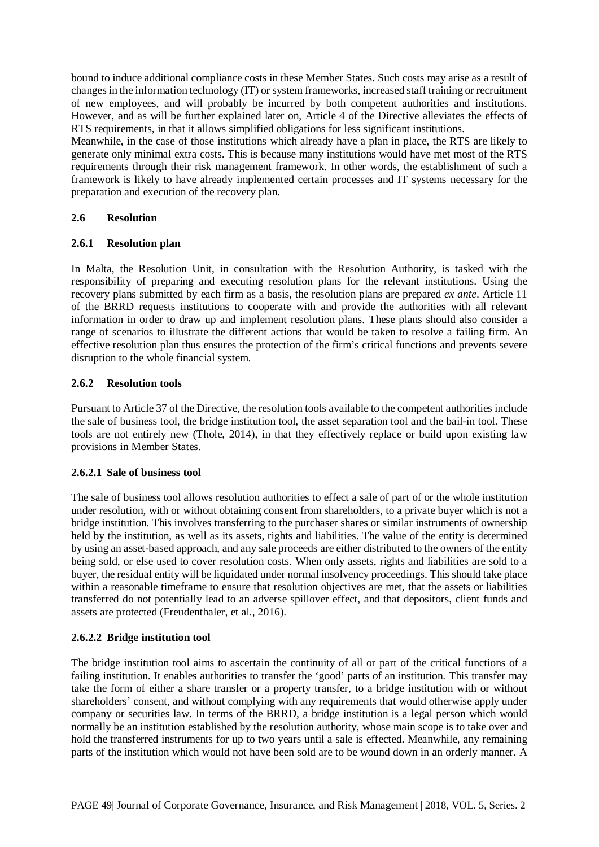bound to induce additional compliance costs in these Member States. Such costs may arise as a result of changes in the information technology (IT) or system frameworks, increased staff training or recruitment of new employees, and will probably be incurred by both competent authorities and institutions. However, and as will be further explained later on, Article 4 of the Directive alleviates the effects of RTS requirements, in that it allows simplified obligations for less significant institutions.

Meanwhile, in the case of those institutions which already have a plan in place, the RTS are likely to generate only minimal extra costs. This is because many institutions would have met most of the RTS requirements through their risk management framework. In other words, the establishment of such a framework is likely to have already implemented certain processes and IT systems necessary for the preparation and execution of the recovery plan.

#### **2.6 Resolution**

#### **2.6.1 Resolution plan**

In Malta, the Resolution Unit, in consultation with the Resolution Authority, is tasked with the responsibility of preparing and executing resolution plans for the relevant institutions. Using the recovery plans submitted by each firm as a basis, the resolution plans are prepared *ex ante*. Article 11 of the BRRD requests institutions to cooperate with and provide the authorities with all relevant information in order to draw up and implement resolution plans. These plans should also consider a range of scenarios to illustrate the different actions that would be taken to resolve a failing firm. An effective resolution plan thus ensures the protection of the firm's critical functions and prevents severe disruption to the whole financial system.

#### **2.6.2 Resolution tools**

Pursuant to Article 37 of the Directive, the resolution tools available to the competent authorities include the sale of business tool, the bridge institution tool, the asset separation tool and the bail-in tool. These tools are not entirely new (Thole, 2014), in that they effectively replace or build upon existing law provisions in Member States.

# **2.6.2.1 Sale of business tool**

The sale of business tool allows resolution authorities to effect a sale of part of or the whole institution under resolution, with or without obtaining consent from shareholders, to a private buyer which is not a bridge institution. This involves transferring to the purchaser shares or similar instruments of ownership held by the institution, as well as its assets, rights and liabilities. The value of the entity is determined by using an asset-based approach, and any sale proceeds are either distributed to the owners of the entity being sold, or else used to cover resolution costs. When only assets, rights and liabilities are sold to a buyer, the residual entity will be liquidated under normal insolvency proceedings. This should take place within a reasonable timeframe to ensure that resolution objectives are met, that the assets or liabilities transferred do not potentially lead to an adverse spillover effect, and that depositors, client funds and assets are protected (Freudenthaler, et al., 2016).

# **2.6.2.2 Bridge institution tool**

The bridge institution tool aims to ascertain the continuity of all or part of the critical functions of a failing institution. It enables authorities to transfer the 'good' parts of an institution. This transfer may take the form of either a share transfer or a property transfer, to a bridge institution with or without shareholders' consent, and without complying with any requirements that would otherwise apply under company or securities law. In terms of the BRRD, a bridge institution is a legal person which would normally be an institution established by the resolution authority, whose main scope is to take over and hold the transferred instruments for up to two years until a sale is effected. Meanwhile, any remaining parts of the institution which would not have been sold are to be wound down in an orderly manner. A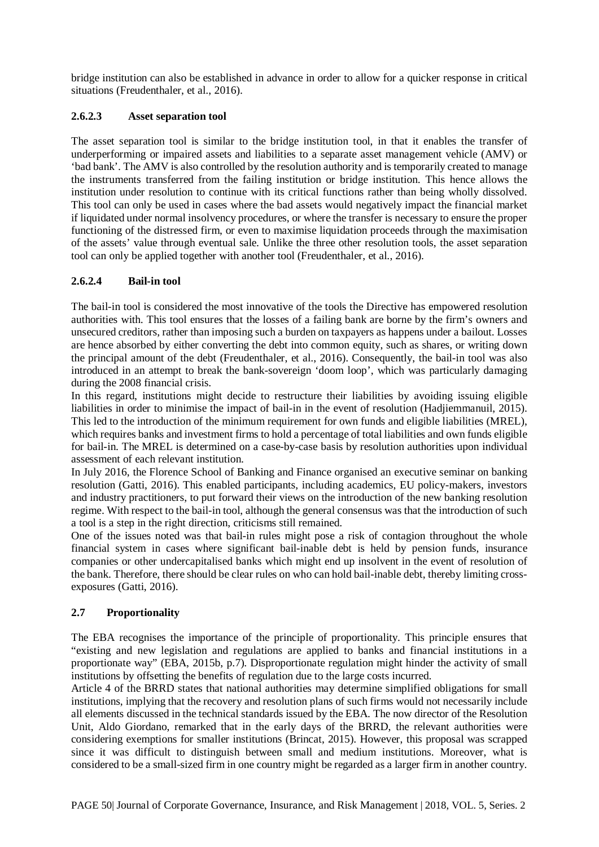bridge institution can also be established in advance in order to allow for a quicker response in critical situations (Freudenthaler, et al., 2016).

#### **2.6.2.3 Asset separation tool**

The asset separation tool is similar to the bridge institution tool, in that it enables the transfer of underperforming or impaired assets and liabilities to a separate asset management vehicle (AMV) or 'bad bank'. The AMV is also controlled by the resolution authority and is temporarily created to manage the instruments transferred from the failing institution or bridge institution. This hence allows the institution under resolution to continue with its critical functions rather than being wholly dissolved. This tool can only be used in cases where the bad assets would negatively impact the financial market if liquidated under normal insolvency procedures, or where the transfer is necessary to ensure the proper functioning of the distressed firm, or even to maximise liquidation proceeds through the maximisation of the assets' value through eventual sale. Unlike the three other resolution tools, the asset separation tool can only be applied together with another tool (Freudenthaler, et al., 2016).

# **2.6.2.4 Bail-in tool**

The bail-in tool is considered the most innovative of the tools the Directive has empowered resolution authorities with. This tool ensures that the losses of a failing bank are borne by the firm's owners and unsecured creditors, rather than imposing such a burden on taxpayers as happens under a bailout. Losses are hence absorbed by either converting the debt into common equity, such as shares, or writing down the principal amount of the debt (Freudenthaler, et al., 2016). Consequently, the bail-in tool was also introduced in an attempt to break the bank-sovereign 'doom loop', which was particularly damaging during the 2008 financial crisis.

In this regard, institutions might decide to restructure their liabilities by avoiding issuing eligible liabilities in order to minimise the impact of bail-in in the event of resolution (Hadjiemmanuil, 2015). This led to the introduction of the minimum requirement for own funds and eligible liabilities (MREL), which requires banks and investment firms to hold a percentage of total liabilities and own funds eligible for bail-in. The MREL is determined on a case-by-case basis by resolution authorities upon individual assessment of each relevant institution.

In July 2016, the Florence School of Banking and Finance organised an executive seminar on banking resolution (Gatti, 2016). This enabled participants, including academics, EU policy-makers, investors and industry practitioners, to put forward their views on the introduction of the new banking resolution regime. With respect to the bail-in tool, although the general consensus was that the introduction of such a tool is a step in the right direction, criticisms still remained.

One of the issues noted was that bail-in rules might pose a risk of contagion throughout the whole financial system in cases where significant bail-inable debt is held by pension funds, insurance companies or other undercapitalised banks which might end up insolvent in the event of resolution of the bank. Therefore, there should be clear rules on who can hold bail-inable debt, thereby limiting crossexposures (Gatti, 2016).

# **2.7 Proportionality**

The EBA recognises the importance of the principle of proportionality. This principle ensures that "existing and new legislation and regulations are applied to banks and financial institutions in a proportionate way" (EBA, 2015b, p.7). Disproportionate regulation might hinder the activity of small institutions by offsetting the benefits of regulation due to the large costs incurred.

Article 4 of the BRRD states that national authorities may determine simplified obligations for small institutions, implying that the recovery and resolution plans of such firms would not necessarily include all elements discussed in the technical standards issued by the EBA. The now director of the Resolution Unit, Aldo Giordano, remarked that in the early days of the BRRD, the relevant authorities were considering exemptions for smaller institutions (Brincat, 2015). However, this proposal was scrapped since it was difficult to distinguish between small and medium institutions. Moreover, what is considered to be a small-sized firm in one country might be regarded as a larger firm in another country.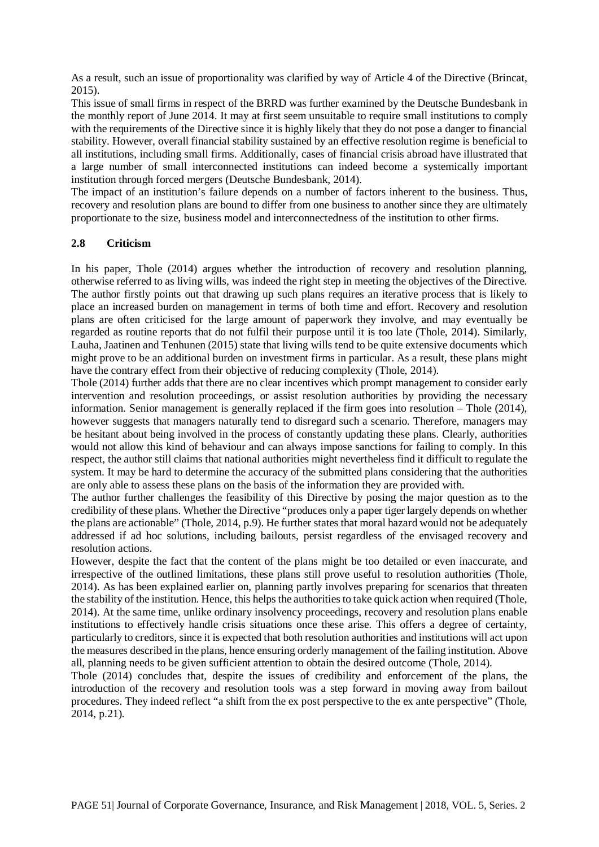As a result, such an issue of proportionality was clarified by way of Article 4 of the Directive (Brincat, 2015).

This issue of small firms in respect of the BRRD was further examined by the Deutsche Bundesbank in the monthly report of June 2014. It may at first seem unsuitable to require small institutions to comply with the requirements of the Directive since it is highly likely that they do not pose a danger to financial stability. However, overall financial stability sustained by an effective resolution regime is beneficial to all institutions, including small firms. Additionally, cases of financial crisis abroad have illustrated that a large number of small interconnected institutions can indeed become a systemically important institution through forced mergers (Deutsche Bundesbank, 2014).

The impact of an institution's failure depends on a number of factors inherent to the business. Thus, recovery and resolution plans are bound to differ from one business to another since they are ultimately proportionate to the size, business model and interconnectedness of the institution to other firms.

#### **2.8 Criticism**

In his paper, Thole (2014) argues whether the introduction of recovery and resolution planning, otherwise referred to as living wills, was indeed the right step in meeting the objectives of the Directive. The author firstly points out that drawing up such plans requires an iterative process that is likely to place an increased burden on management in terms of both time and effort. Recovery and resolution plans are often criticised for the large amount of paperwork they involve, and may eventually be regarded as routine reports that do not fulfil their purpose until it is too late (Thole, 2014). Similarly, Lauha, Jaatinen and Tenhunen (2015) state that living wills tend to be quite extensive documents which might prove to be an additional burden on investment firms in particular. As a result, these plans might have the contrary effect from their objective of reducing complexity (Thole, 2014).

Thole (2014) further adds that there are no clear incentives which prompt management to consider early intervention and resolution proceedings, or assist resolution authorities by providing the necessary information. Senior management is generally replaced if the firm goes into resolution – Thole (2014), however suggests that managers naturally tend to disregard such a scenario. Therefore, managers may be hesitant about being involved in the process of constantly updating these plans. Clearly, authorities would not allow this kind of behaviour and can always impose sanctions for failing to comply. In this respect, the author still claims that national authorities might nevertheless find it difficult to regulate the system. It may be hard to determine the accuracy of the submitted plans considering that the authorities are only able to assess these plans on the basis of the information they are provided with.

The author further challenges the feasibility of this Directive by posing the major question as to the credibility of these plans. Whether the Directive "produces only a paper tiger largely depends on whether the plans are actionable" (Thole, 2014, p.9). He further states that moral hazard would not be adequately addressed if ad hoc solutions, including bailouts, persist regardless of the envisaged recovery and resolution actions.

However, despite the fact that the content of the plans might be too detailed or even inaccurate, and irrespective of the outlined limitations, these plans still prove useful to resolution authorities (Thole, 2014). As has been explained earlier on, planning partly involves preparing for scenarios that threaten the stability of the institution. Hence, this helps the authorities to take quick action when required (Thole, 2014). At the same time, unlike ordinary insolvency proceedings, recovery and resolution plans enable institutions to effectively handle crisis situations once these arise. This offers a degree of certainty, particularly to creditors, since it is expected that both resolution authorities and institutions will act upon the measures described in the plans, hence ensuring orderly management of the failing institution. Above all, planning needs to be given sufficient attention to obtain the desired outcome (Thole, 2014).

Thole (2014) concludes that, despite the issues of credibility and enforcement of the plans, the introduction of the recovery and resolution tools was a step forward in moving away from bailout procedures. They indeed reflect "a shift from the ex post perspective to the ex ante perspective" (Thole, 2014, p.21).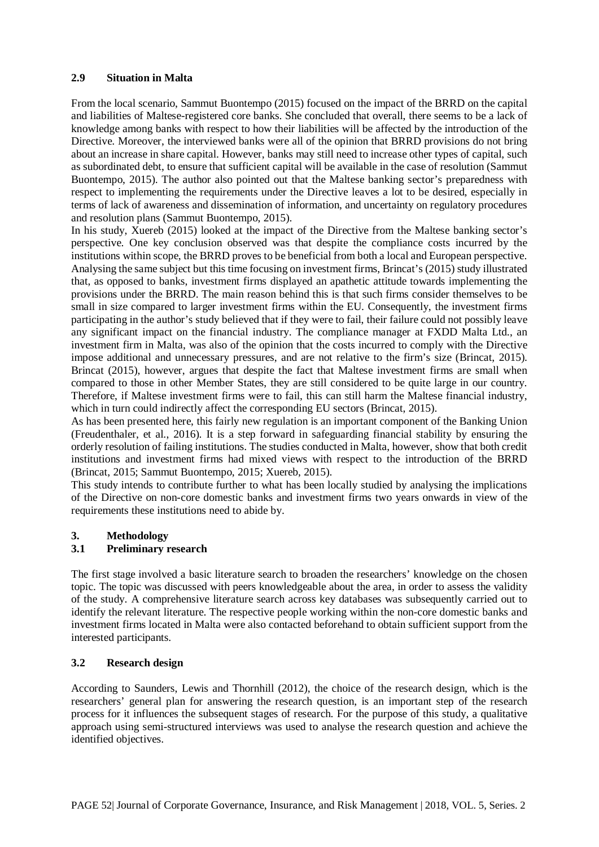#### **2.9 Situation in Malta**

From the local scenario, Sammut Buontempo (2015) focused on the impact of the BRRD on the capital and liabilities of Maltese-registered core banks. She concluded that overall, there seems to be a lack of knowledge among banks with respect to how their liabilities will be affected by the introduction of the Directive. Moreover, the interviewed banks were all of the opinion that BRRD provisions do not bring about an increase in share capital. However, banks may still need to increase other types of capital, such as subordinated debt, to ensure that sufficient capital will be available in the case of resolution (Sammut Buontempo, 2015). The author also pointed out that the Maltese banking sector's preparedness with respect to implementing the requirements under the Directive leaves a lot to be desired, especially in terms of lack of awareness and dissemination of information, and uncertainty on regulatory procedures and resolution plans (Sammut Buontempo, 2015).

In his study, Xuereb (2015) looked at the impact of the Directive from the Maltese banking sector's perspective. One key conclusion observed was that despite the compliance costs incurred by the institutions within scope, the BRRD proves to be beneficial from both a local and European perspective. Analysing the same subject but this time focusing on investment firms, Brincat's (2015) study illustrated that, as opposed to banks, investment firms displayed an apathetic attitude towards implementing the provisions under the BRRD. The main reason behind this is that such firms consider themselves to be small in size compared to larger investment firms within the EU. Consequently, the investment firms participating in the author's study believed that if they were to fail, their failure could not possibly leave any significant impact on the financial industry. The compliance manager at FXDD Malta Ltd., an investment firm in Malta, was also of the opinion that the costs incurred to comply with the Directive impose additional and unnecessary pressures, and are not relative to the firm's size (Brincat, 2015). Brincat (2015), however, argues that despite the fact that Maltese investment firms are small when compared to those in other Member States, they are still considered to be quite large in our country. Therefore, if Maltese investment firms were to fail, this can still harm the Maltese financial industry, which in turn could indirectly affect the corresponding EU sectors (Brincat, 2015).

As has been presented here, this fairly new regulation is an important component of the Banking Union (Freudenthaler, et al., 2016). It is a step forward in safeguarding financial stability by ensuring the orderly resolution of failing institutions. The studies conducted in Malta, however, show that both credit institutions and investment firms had mixed views with respect to the introduction of the BRRD (Brincat, 2015; Sammut Buontempo, 2015; Xuereb, 2015).

This study intends to contribute further to what has been locally studied by analysing the implications of the Directive on non-core domestic banks and investment firms two years onwards in view of the requirements these institutions need to abide by.

#### **3. Methodology**

#### **3.1 Preliminary research**

The first stage involved a basic literature search to broaden the researchers' knowledge on the chosen topic. The topic was discussed with peers knowledgeable about the area, in order to assess the validity of the study. A comprehensive literature search across key databases was subsequently carried out to identify the relevant literature. The respective people working within the non-core domestic banks and investment firms located in Malta were also contacted beforehand to obtain sufficient support from the interested participants.

#### **3.2 Research design**

According to Saunders, Lewis and Thornhill (2012), the choice of the research design, which is the researchers' general plan for answering the research question, is an important step of the research process for it influences the subsequent stages of research. For the purpose of this study, a qualitative approach using semi-structured interviews was used to analyse the research question and achieve the identified objectives.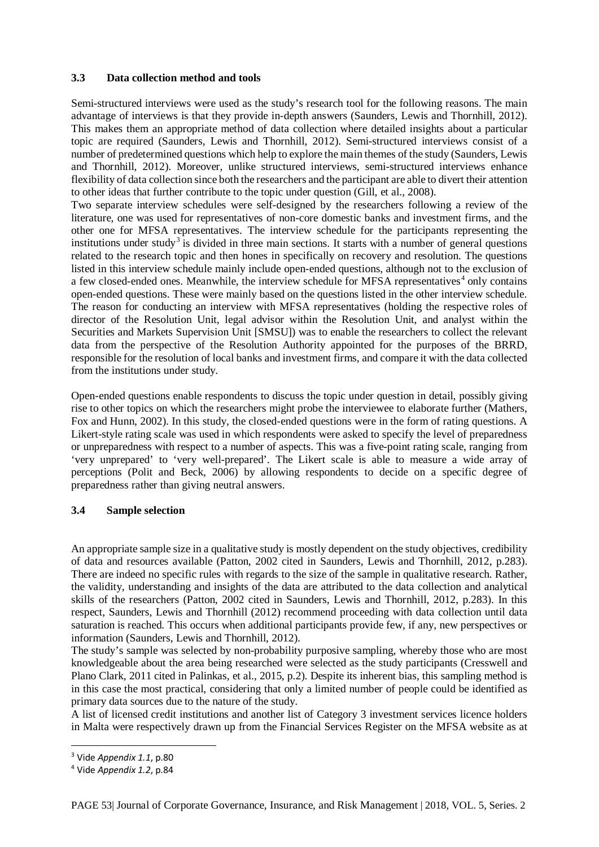#### **3.3 Data collection method and tools**

Semi-structured interviews were used as the study's research tool for the following reasons. The main advantage of interviews is that they provide in-depth answers (Saunders, Lewis and Thornhill, 2012). This makes them an appropriate method of data collection where detailed insights about a particular topic are required (Saunders, Lewis and Thornhill, 2012). Semi-structured interviews consist of a number of predetermined questions which help to explore the main themes of the study (Saunders, Lewis and Thornhill, 2012). Moreover, unlike structured interviews, semi-structured interviews enhance flexibility of data collection since both the researchers and the participant are able to divert their attention to other ideas that further contribute to the topic under question (Gill, et al., 2008).

Two separate interview schedules were self-designed by the researchers following a review of the literature, one was used for representatives of non-core domestic banks and investment firms, and the other one for MFSA representatives. The interview schedule for the participants representing the institutions under study<sup>[3](#page-13-0)</sup> is divided in three main sections. It starts with a number of general questions related to the research topic and then hones in specifically on recovery and resolution. The questions listed in this interview schedule mainly include open-ended questions, although not to the exclusion of a few closed-ended ones. Meanwhile, the interview schedule for MFSA representatives<sup>[4](#page-13-1)</sup> only contains open-ended questions. These were mainly based on the questions listed in the other interview schedule. The reason for conducting an interview with MFSA representatives (holding the respective roles of director of the Resolution Unit, legal advisor within the Resolution Unit, and analyst within the Securities and Markets Supervision Unit [SMSU]) was to enable the researchers to collect the relevant data from the perspective of the Resolution Authority appointed for the purposes of the BRRD, responsible for the resolution of local banks and investment firms, and compare it with the data collected from the institutions under study.

Open-ended questions enable respondents to discuss the topic under question in detail, possibly giving rise to other topics on which the researchers might probe the interviewee to elaborate further (Mathers, Fox and Hunn, 2002). In this study, the closed-ended questions were in the form of rating questions. A Likert-style rating scale was used in which respondents were asked to specify the level of preparedness or unpreparedness with respect to a number of aspects. This was a five-point rating scale, ranging from 'very unprepared' to 'very well-prepared'. The Likert scale is able to measure a wide array of perceptions (Polit and Beck, 2006) by allowing respondents to decide on a specific degree of preparedness rather than giving neutral answers.

#### **3.4 Sample selection**

An appropriate sample size in a qualitative study is mostly dependent on the study objectives, credibility of data and resources available (Patton, 2002 cited in Saunders, Lewis and Thornhill, 2012, p.283). There are indeed no specific rules with regards to the size of the sample in qualitative research. Rather, the validity, understanding and insights of the data are attributed to the data collection and analytical skills of the researchers (Patton, 2002 cited in Saunders, Lewis and Thornhill, 2012, p.283). In this respect, Saunders, Lewis and Thornhill (2012) recommend proceeding with data collection until data saturation is reached. This occurs when additional participants provide few, if any, new perspectives or information (Saunders, Lewis and Thornhill, 2012).

The study's sample was selected by non-probability purposive sampling, whereby those who are most knowledgeable about the area being researched were selected as the study participants (Cresswell and Plano Clark, 2011 cited in Palinkas, et al., 2015, p.2). Despite its inherent bias, this sampling method is in this case the most practical, considering that only a limited number of people could be identified as primary data sources due to the nature of the study.

A list of licensed credit institutions and another list of Category 3 investment services licence holders in Malta were respectively drawn up from the Financial Services Register on the MFSA website as at

<span id="page-13-0"></span> <sup>3</sup> Vide *Appendix 1.1*, p.80

<span id="page-13-1"></span><sup>4</sup> Vide *Appendix 1.2*, p.84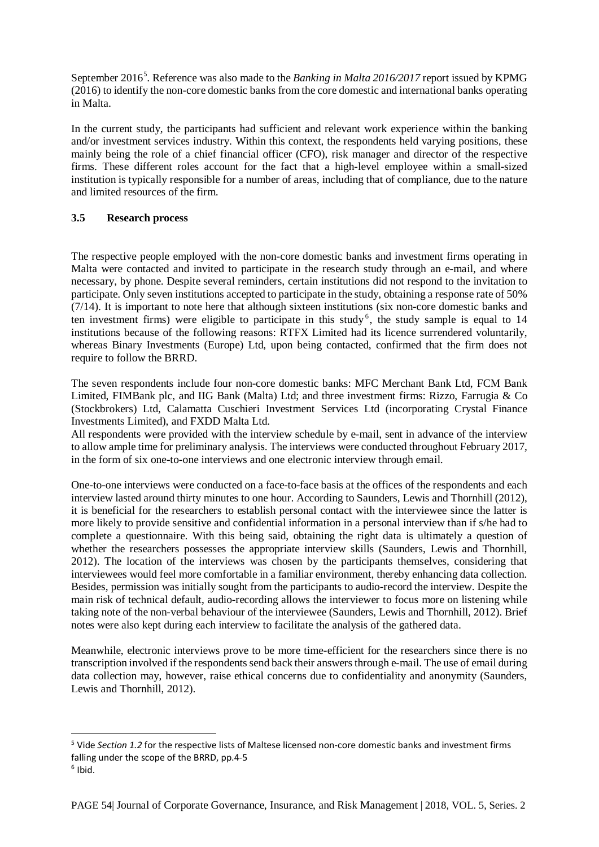September 2016<sup>[5](#page-14-0)</sup>. Reference was also made to the *Banking in Malta 2016/2017* report issued by KPMG (2016) to identify the non-core domestic banks from the core domestic and international banks operating in Malta.

In the current study, the participants had sufficient and relevant work experience within the banking and/or investment services industry. Within this context, the respondents held varying positions, these mainly being the role of a chief financial officer (CFO), risk manager and director of the respective firms. These different roles account for the fact that a high-level employee within a small-sized institution is typically responsible for a number of areas, including that of compliance, due to the nature and limited resources of the firm.

#### **3.5 Research process**

The respective people employed with the non-core domestic banks and investment firms operating in Malta were contacted and invited to participate in the research study through an e-mail, and where necessary, by phone. Despite several reminders, certain institutions did not respond to the invitation to participate. Only seven institutions accepted to participate in the study, obtaining a response rate of 50%  $(7/14)$ . It is important to note here that although sixteen institutions (six non-core domestic banks and ten investment firms) were eligible to participate in this study<sup>[6](#page-14-1)</sup>, the study sample is equal to  $14$ institutions because of the following reasons: RTFX Limited had its licence surrendered voluntarily, whereas Binary Investments (Europe) Ltd, upon being contacted, confirmed that the firm does not require to follow the BRRD.

The seven respondents include four non-core domestic banks: MFC Merchant Bank Ltd, FCM Bank Limited, FIMBank plc, and IIG Bank (Malta) Ltd; and three investment firms: Rizzo, Farrugia & Co (Stockbrokers) Ltd, Calamatta Cuschieri Investment Services Ltd (incorporating Crystal Finance Investments Limited), and FXDD Malta Ltd.

All respondents were provided with the interview schedule by e-mail, sent in advance of the interview to allow ample time for preliminary analysis. The interviews were conducted throughout February 2017, in the form of six one-to-one interviews and one electronic interview through email.

One-to-one interviews were conducted on a face-to-face basis at the offices of the respondents and each interview lasted around thirty minutes to one hour. According to Saunders, Lewis and Thornhill (2012), it is beneficial for the researchers to establish personal contact with the interviewee since the latter is more likely to provide sensitive and confidential information in a personal interview than if s/he had to complete a questionnaire. With this being said, obtaining the right data is ultimately a question of whether the researchers possesses the appropriate interview skills (Saunders, Lewis and Thornhill, 2012). The location of the interviews was chosen by the participants themselves, considering that interviewees would feel more comfortable in a familiar environment, thereby enhancing data collection. Besides, permission was initially sought from the participants to audio-record the interview. Despite the main risk of technical default, audio-recording allows the interviewer to focus more on listening while taking note of the non-verbal behaviour of the interviewee (Saunders, Lewis and Thornhill, 2012). Brief notes were also kept during each interview to facilitate the analysis of the gathered data.

Meanwhile, electronic interviews prove to be more time-efficient for the researchers since there is no transcription involved if the respondents send back their answers through e-mail. The use of email during data collection may, however, raise ethical concerns due to confidentiality and anonymity (Saunders, Lewis and Thornhill, 2012).

<span id="page-14-1"></span><span id="page-14-0"></span> <sup>5</sup> Vide *Section 1.2* for the respective lists of Maltese licensed non-core domestic banks and investment firms falling under the scope of the BRRD, pp.4-5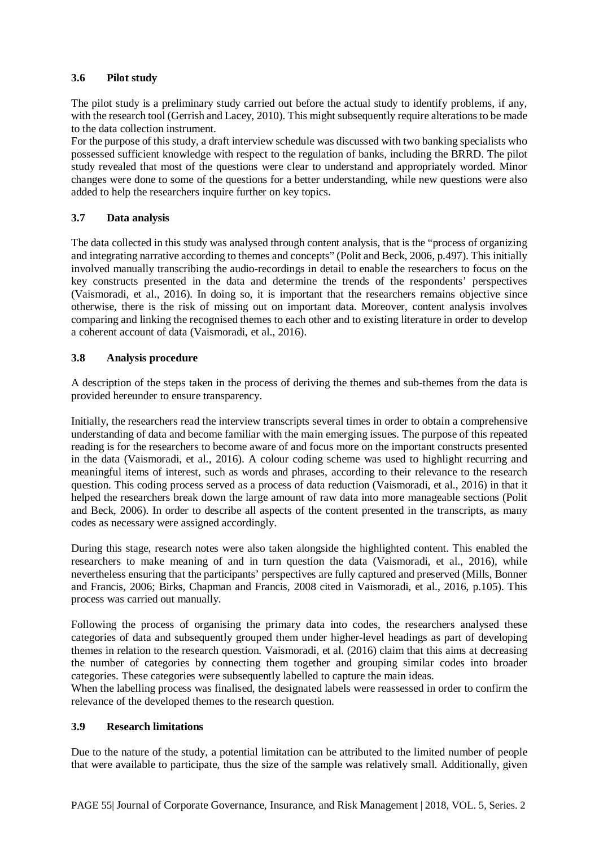#### **3.6 Pilot study**

The pilot study is a preliminary study carried out before the actual study to identify problems, if any, with the research tool (Gerrish and Lacey, 2010). This might subsequently require alterations to be made to the data collection instrument.

For the purpose of this study, a draft interview schedule was discussed with two banking specialists who possessed sufficient knowledge with respect to the regulation of banks, including the BRRD. The pilot study revealed that most of the questions were clear to understand and appropriately worded. Minor changes were done to some of the questions for a better understanding, while new questions were also added to help the researchers inquire further on key topics.

#### **3.7 Data analysis**

The data collected in this study was analysed through content analysis, that is the "process of organizing and integrating narrative according to themes and concepts" (Polit and Beck, 2006, p.497). This initially involved manually transcribing the audio-recordings in detail to enable the researchers to focus on the key constructs presented in the data and determine the trends of the respondents' perspectives (Vaismoradi, et al., 2016). In doing so, it is important that the researchers remains objective since otherwise, there is the risk of missing out on important data. Moreover, content analysis involves comparing and linking the recognised themes to each other and to existing literature in order to develop a coherent account of data (Vaismoradi, et al., 2016).

#### **3.8 Analysis procedure**

A description of the steps taken in the process of deriving the themes and sub-themes from the data is provided hereunder to ensure transparency.

Initially, the researchers read the interview transcripts several times in order to obtain a comprehensive understanding of data and become familiar with the main emerging issues. The purpose of this repeated reading is for the researchers to become aware of and focus more on the important constructs presented in the data (Vaismoradi, et al., 2016). A colour coding scheme was used to highlight recurring and meaningful items of interest, such as words and phrases, according to their relevance to the research question. This coding process served as a process of data reduction (Vaismoradi, et al., 2016) in that it helped the researchers break down the large amount of raw data into more manageable sections (Polit and Beck, 2006). In order to describe all aspects of the content presented in the transcripts, as many codes as necessary were assigned accordingly.

During this stage, research notes were also taken alongside the highlighted content. This enabled the researchers to make meaning of and in turn question the data (Vaismoradi, et al., 2016), while nevertheless ensuring that the participants' perspectives are fully captured and preserved (Mills, Bonner and Francis, 2006; Birks, Chapman and Francis, 2008 cited in Vaismoradi, et al., 2016, p.105). This process was carried out manually.

Following the process of organising the primary data into codes, the researchers analysed these categories of data and subsequently grouped them under higher-level headings as part of developing themes in relation to the research question. Vaismoradi, et al. (2016) claim that this aims at decreasing the number of categories by connecting them together and grouping similar codes into broader categories. These categories were subsequently labelled to capture the main ideas.

When the labelling process was finalised, the designated labels were reassessed in order to confirm the relevance of the developed themes to the research question.

#### **3.9 Research limitations**

Due to the nature of the study, a potential limitation can be attributed to the limited number of people that were available to participate, thus the size of the sample was relatively small. Additionally, given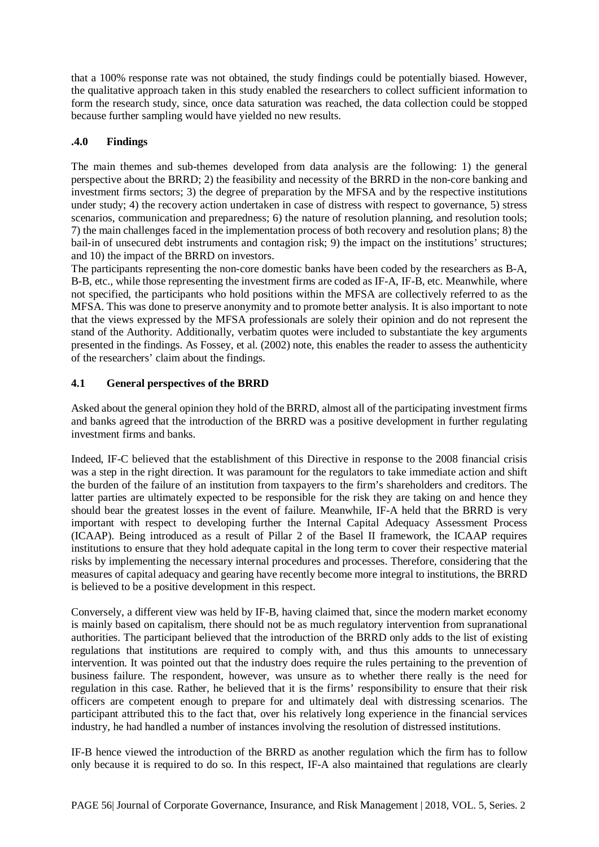that a 100% response rate was not obtained, the study findings could be potentially biased. However, the qualitative approach taken in this study enabled the researchers to collect sufficient information to form the research study, since, once data saturation was reached, the data collection could be stopped because further sampling would have yielded no new results.

# **.4.0 Findings**

The main themes and sub-themes developed from data analysis are the following: 1) the general perspective about the BRRD; 2) the feasibility and necessity of the BRRD in the non-core banking and investment firms sectors; 3) the degree of preparation by the MFSA and by the respective institutions under study; 4) the recovery action undertaken in case of distress with respect to governance, 5) stress scenarios, communication and preparedness; 6) the nature of resolution planning, and resolution tools; 7) the main challenges faced in the implementation process of both recovery and resolution plans; 8) the bail-in of unsecured debt instruments and contagion risk; 9) the impact on the institutions' structures; and 10) the impact of the BRRD on investors.

The participants representing the non-core domestic banks have been coded by the researchers as B-A, B-B, etc., while those representing the investment firms are coded as IF-A, IF-B, etc. Meanwhile, where not specified, the participants who hold positions within the MFSA are collectively referred to as the MFSA. This was done to preserve anonymity and to promote better analysis. It is also important to note that the views expressed by the MFSA professionals are solely their opinion and do not represent the stand of the Authority. Additionally, verbatim quotes were included to substantiate the key arguments presented in the findings. As Fossey, et al. (2002) note, this enables the reader to assess the authenticity of the researchers' claim about the findings.

# **4.1 General perspectives of the BRRD**

Asked about the general opinion they hold of the BRRD, almost all of the participating investment firms and banks agreed that the introduction of the BRRD was a positive development in further regulating investment firms and banks.

Indeed, IF-C believed that the establishment of this Directive in response to the 2008 financial crisis was a step in the right direction. It was paramount for the regulators to take immediate action and shift the burden of the failure of an institution from taxpayers to the firm's shareholders and creditors. The latter parties are ultimately expected to be responsible for the risk they are taking on and hence they should bear the greatest losses in the event of failure. Meanwhile, IF-A held that the BRRD is very important with respect to developing further the Internal Capital Adequacy Assessment Process (ICAAP). Being introduced as a result of Pillar 2 of the Basel II framework, the ICAAP requires institutions to ensure that they hold adequate capital in the long term to cover their respective material risks by implementing the necessary internal procedures and processes. Therefore, considering that the measures of capital adequacy and gearing have recently become more integral to institutions, the BRRD is believed to be a positive development in this respect.

Conversely, a different view was held by IF-B, having claimed that, since the modern market economy is mainly based on capitalism, there should not be as much regulatory intervention from supranational authorities. The participant believed that the introduction of the BRRD only adds to the list of existing regulations that institutions are required to comply with, and thus this amounts to unnecessary intervention. It was pointed out that the industry does require the rules pertaining to the prevention of business failure. The respondent, however, was unsure as to whether there really is the need for regulation in this case. Rather, he believed that it is the firms' responsibility to ensure that their risk officers are competent enough to prepare for and ultimately deal with distressing scenarios. The participant attributed this to the fact that, over his relatively long experience in the financial services industry, he had handled a number of instances involving the resolution of distressed institutions.

IF-B hence viewed the introduction of the BRRD as another regulation which the firm has to follow only because it is required to do so. In this respect, IF-A also maintained that regulations are clearly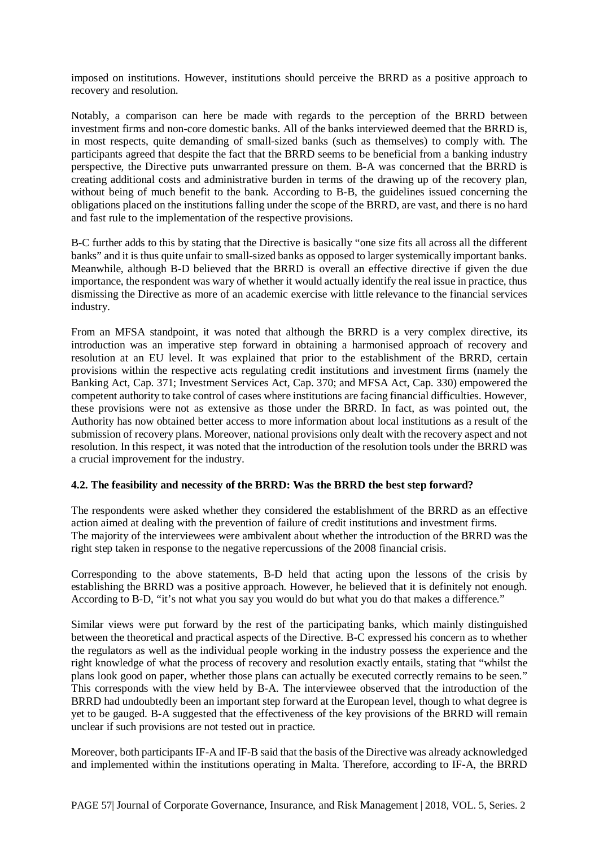imposed on institutions. However, institutions should perceive the BRRD as a positive approach to recovery and resolution.

Notably, a comparison can here be made with regards to the perception of the BRRD between investment firms and non-core domestic banks. All of the banks interviewed deemed that the BRRD is, in most respects, quite demanding of small-sized banks (such as themselves) to comply with. The participants agreed that despite the fact that the BRRD seems to be beneficial from a banking industry perspective, the Directive puts unwarranted pressure on them. B-A was concerned that the BRRD is creating additional costs and administrative burden in terms of the drawing up of the recovery plan, without being of much benefit to the bank. According to B-B, the guidelines issued concerning the obligations placed on the institutions falling under the scope of the BRRD, are vast, and there is no hard and fast rule to the implementation of the respective provisions.

B-C further adds to this by stating that the Directive is basically "one size fits all across all the different banks" and it is thus quite unfair to small-sized banks as opposed to larger systemically important banks. Meanwhile, although B-D believed that the BRRD is overall an effective directive if given the due importance, the respondent was wary of whether it would actually identify the real issue in practice, thus dismissing the Directive as more of an academic exercise with little relevance to the financial services industry.

From an MFSA standpoint, it was noted that although the BRRD is a very complex directive, its introduction was an imperative step forward in obtaining a harmonised approach of recovery and resolution at an EU level. It was explained that prior to the establishment of the BRRD, certain provisions within the respective acts regulating credit institutions and investment firms (namely the Banking Act, Cap. 371; Investment Services Act, Cap. 370; and MFSA Act, Cap. 330) empowered the competent authority to take control of cases where institutions are facing financial difficulties. However, these provisions were not as extensive as those under the BRRD. In fact, as was pointed out, the Authority has now obtained better access to more information about local institutions as a result of the submission of recovery plans. Moreover, national provisions only dealt with the recovery aspect and not resolution. In this respect, it was noted that the introduction of the resolution tools under the BRRD was a crucial improvement for the industry.

#### **4.2. The feasibility and necessity of the BRRD: Was the BRRD the best step forward?**

The respondents were asked whether they considered the establishment of the BRRD as an effective action aimed at dealing with the prevention of failure of credit institutions and investment firms. The majority of the interviewees were ambivalent about whether the introduction of the BRRD was the right step taken in response to the negative repercussions of the 2008 financial crisis.

Corresponding to the above statements, B-D held that acting upon the lessons of the crisis by establishing the BRRD was a positive approach. However, he believed that it is definitely not enough. According to B-D, "it's not what you say you would do but what you do that makes a difference."

Similar views were put forward by the rest of the participating banks, which mainly distinguished between the theoretical and practical aspects of the Directive. B-C expressed his concern as to whether the regulators as well as the individual people working in the industry possess the experience and the right knowledge of what the process of recovery and resolution exactly entails, stating that "whilst the plans look good on paper, whether those plans can actually be executed correctly remains to be seen." This corresponds with the view held by B-A. The interviewee observed that the introduction of the BRRD had undoubtedly been an important step forward at the European level, though to what degree is yet to be gauged. B-A suggested that the effectiveness of the key provisions of the BRRD will remain unclear if such provisions are not tested out in practice.

Moreover, both participants IF-A and IF-B said that the basis of the Directive was already acknowledged and implemented within the institutions operating in Malta. Therefore, according to IF-A, the BRRD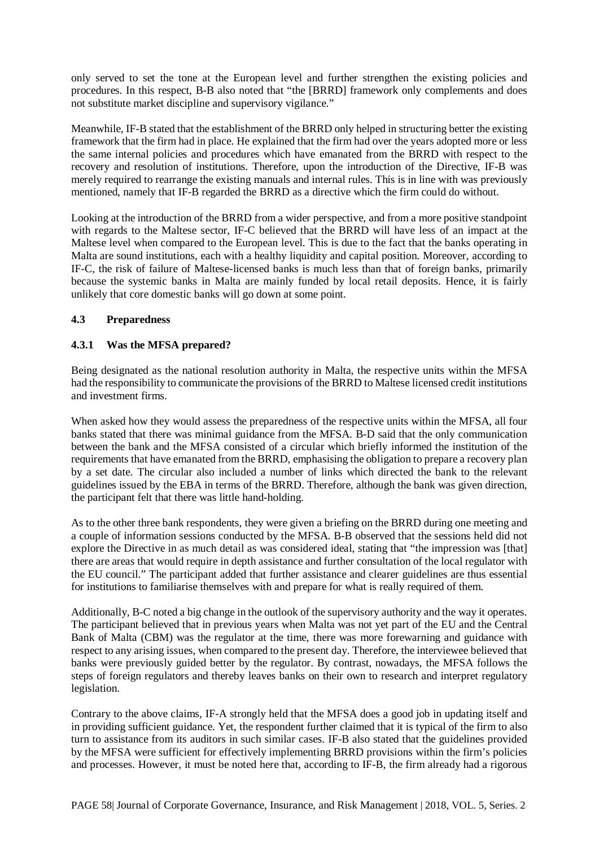only served to set the tone at the European level and further strengthen the existing policies and procedures. In this respect, B-B also noted that "the [BRRD] framework only complements and does not substitute market discipline and supervisory vigilance."

Meanwhile, IF-B stated that the establishment of the BRRD only helped in structuring better the existing framework that the firm had in place. He explained that the firm had over the years adopted more or less the same internal policies and procedures which have emanated from the BRRD with respect to the recovery and resolution of institutions. Therefore, upon the introduction of the Directive, IF-B was merely required to rearrange the existing manuals and internal rules. This is in line with was previously mentioned, namely that IF-B regarded the BRRD as a directive which the firm could do without.

Looking at the introduction of the BRRD from a wider perspective, and from a more positive standpoint with regards to the Maltese sector, IF-C believed that the BRRD will have less of an impact at the Maltese level when compared to the European level. This is due to the fact that the banks operating in Malta are sound institutions, each with a healthy liquidity and capital position. Moreover, according to IF-C, the risk of failure of Maltese-licensed banks is much less than that of foreign banks, primarily because the systemic banks in Malta are mainly funded by local retail deposits. Hence, it is fairly unlikely that core domestic banks will go down at some point.

# **4.3 Preparedness**

#### **4.3.1 Was the MFSA prepared?**

Being designated as the national resolution authority in Malta, the respective units within the MFSA had the responsibility to communicate the provisions of the BRRD to Maltese licensed credit institutions and investment firms.

When asked how they would assess the preparedness of the respective units within the MFSA, all four banks stated that there was minimal guidance from the MFSA. B-D said that the only communication between the bank and the MFSA consisted of a circular which briefly informed the institution of the requirements that have emanated from the BRRD, emphasising the obligation to prepare a recovery plan by a set date. The circular also included a number of links which directed the bank to the relevant guidelines issued by the EBA in terms of the BRRD. Therefore, although the bank was given direction, the participant felt that there was little hand-holding.

As to the other three bank respondents, they were given a briefing on the BRRD during one meeting and a couple of information sessions conducted by the MFSA. B-B observed that the sessions held did not explore the Directive in as much detail as was considered ideal, stating that "the impression was [that] there are areas that would require in depth assistance and further consultation of the local regulator with the EU council." The participant added that further assistance and clearer guidelines are thus essential for institutions to familiarise themselves with and prepare for what is really required of them.

Additionally, B-C noted a big change in the outlook of the supervisory authority and the way it operates. The participant believed that in previous years when Malta was not yet part of the EU and the Central Bank of Malta (CBM) was the regulator at the time, there was more forewarning and guidance with respect to any arising issues, when compared to the present day. Therefore, the interviewee believed that banks were previously guided better by the regulator. By contrast, nowadays, the MFSA follows the steps of foreign regulators and thereby leaves banks on their own to research and interpret regulatory legislation.

Contrary to the above claims, IF-A strongly held that the MFSA does a good job in updating itself and in providing sufficient guidance. Yet, the respondent further claimed that it is typical of the firm to also turn to assistance from its auditors in such similar cases. IF-B also stated that the guidelines provided by the MFSA were sufficient for effectively implementing BRRD provisions within the firm's policies and processes. However, it must be noted here that, according to IF-B, the firm already had a rigorous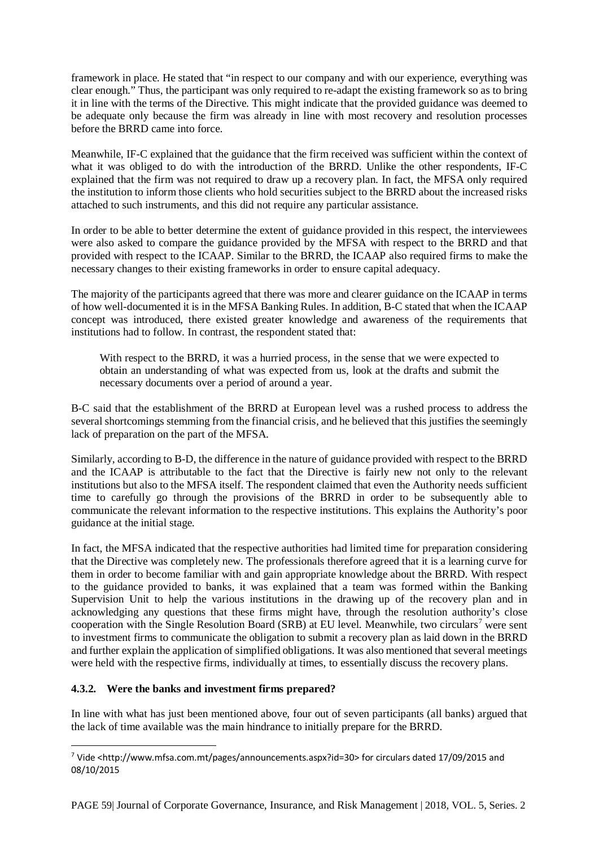framework in place. He stated that "in respect to our company and with our experience, everything was clear enough." Thus, the participant was only required to re-adapt the existing framework so as to bring it in line with the terms of the Directive. This might indicate that the provided guidance was deemed to be adequate only because the firm was already in line with most recovery and resolution processes before the BRRD came into force.

Meanwhile, IF-C explained that the guidance that the firm received was sufficient within the context of what it was obliged to do with the introduction of the BRRD. Unlike the other respondents, IF-C explained that the firm was not required to draw up a recovery plan. In fact, the MFSA only required the institution to inform those clients who hold securities subject to the BRRD about the increased risks attached to such instruments, and this did not require any particular assistance.

In order to be able to better determine the extent of guidance provided in this respect, the interviewees were also asked to compare the guidance provided by the MFSA with respect to the BRRD and that provided with respect to the ICAAP. Similar to the BRRD, the ICAAP also required firms to make the necessary changes to their existing frameworks in order to ensure capital adequacy.

The majority of the participants agreed that there was more and clearer guidance on the ICAAP in terms of how well-documented it is in the MFSA Banking Rules. In addition, B-C stated that when the ICAAP concept was introduced, there existed greater knowledge and awareness of the requirements that institutions had to follow. In contrast, the respondent stated that:

With respect to the BRRD, it was a hurried process, in the sense that we were expected to obtain an understanding of what was expected from us, look at the drafts and submit the necessary documents over a period of around a year.

B-C said that the establishment of the BRRD at European level was a rushed process to address the several shortcomings stemming from the financial crisis, and he believed that this justifies the seemingly lack of preparation on the part of the MFSA.

Similarly, according to B-D, the difference in the nature of guidance provided with respect to the BRRD and the ICAAP is attributable to the fact that the Directive is fairly new not only to the relevant institutions but also to the MFSA itself. The respondent claimed that even the Authority needs sufficient time to carefully go through the provisions of the BRRD in order to be subsequently able to communicate the relevant information to the respective institutions. This explains the Authority's poor guidance at the initial stage.

In fact, the MFSA indicated that the respective authorities had limited time for preparation considering that the Directive was completely new. The professionals therefore agreed that it is a learning curve for them in order to become familiar with and gain appropriate knowledge about the BRRD. With respect to the guidance provided to banks, it was explained that a team was formed within the Banking Supervision Unit to help the various institutions in the drawing up of the recovery plan and in acknowledging any questions that these firms might have, through the resolution authority's close cooperation with the Single Resolution Board (SRB) at EU level. Meanwhile, two circulars<sup>[7](#page-19-0)</sup> were sent to investment firms to communicate the obligation to submit a recovery plan as laid down in the BRRD and further explain the application of simplified obligations. It was also mentioned that several meetings were held with the respective firms, individually at times, to essentially discuss the recovery plans.

# **4.3.2. Were the banks and investment firms prepared?**

In line with what has just been mentioned above, four out of seven participants (all banks) argued that the lack of time available was the main hindrance to initially prepare for the BRRD.

<span id="page-19-0"></span> <sup>7</sup> Vide <http://www.mfsa.com.mt/pages/announcements.aspx?id=30> for circulars dated 17/09/2015 and 08/10/2015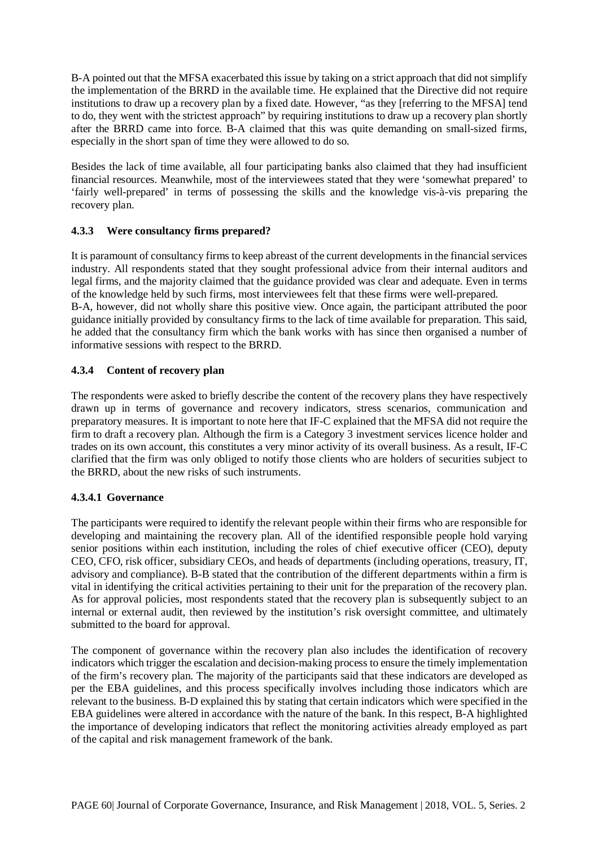B-A pointed out that the MFSA exacerbated this issue by taking on a strict approach that did not simplify the implementation of the BRRD in the available time. He explained that the Directive did not require institutions to draw up a recovery plan by a fixed date. However, "as they [referring to the MFSA] tend to do, they went with the strictest approach" by requiring institutions to draw up a recovery plan shortly after the BRRD came into force. B-A claimed that this was quite demanding on small-sized firms, especially in the short span of time they were allowed to do so.

Besides the lack of time available, all four participating banks also claimed that they had insufficient financial resources. Meanwhile, most of the interviewees stated that they were 'somewhat prepared' to 'fairly well-prepared' in terms of possessing the skills and the knowledge vis-à-vis preparing the recovery plan.

# **4.3.3 Were consultancy firms prepared?**

It is paramount of consultancy firms to keep abreast of the current developments in the financial services industry. All respondents stated that they sought professional advice from their internal auditors and legal firms, and the majority claimed that the guidance provided was clear and adequate. Even in terms of the knowledge held by such firms, most interviewees felt that these firms were well-prepared. B-A, however, did not wholly share this positive view. Once again, the participant attributed the poor guidance initially provided by consultancy firms to the lack of time available for preparation. This said, he added that the consultancy firm which the bank works with has since then organised a number of informative sessions with respect to the BRRD.

# **4.3.4 Content of recovery plan**

The respondents were asked to briefly describe the content of the recovery plans they have respectively drawn up in terms of governance and recovery indicators, stress scenarios, communication and preparatory measures. It is important to note here that IF-C explained that the MFSA did not require the firm to draft a recovery plan. Although the firm is a Category 3 investment services licence holder and trades on its own account, this constitutes a very minor activity of its overall business. As a result, IF-C clarified that the firm was only obliged to notify those clients who are holders of securities subject to the BRRD, about the new risks of such instruments.

# **4.3.4.1 Governance**

The participants were required to identify the relevant people within their firms who are responsible for developing and maintaining the recovery plan. All of the identified responsible people hold varying senior positions within each institution, including the roles of chief executive officer (CEO), deputy CEO, CFO, risk officer, subsidiary CEOs, and heads of departments (including operations, treasury, IT, advisory and compliance). B-B stated that the contribution of the different departments within a firm is vital in identifying the critical activities pertaining to their unit for the preparation of the recovery plan. As for approval policies, most respondents stated that the recovery plan is subsequently subject to an internal or external audit, then reviewed by the institution's risk oversight committee, and ultimately submitted to the board for approval.

The component of governance within the recovery plan also includes the identification of recovery indicators which trigger the escalation and decision-making process to ensure the timely implementation of the firm's recovery plan. The majority of the participants said that these indicators are developed as per the EBA guidelines, and this process specifically involves including those indicators which are relevant to the business. B-D explained this by stating that certain indicators which were specified in the EBA guidelines were altered in accordance with the nature of the bank. In this respect, B-A highlighted the importance of developing indicators that reflect the monitoring activities already employed as part of the capital and risk management framework of the bank.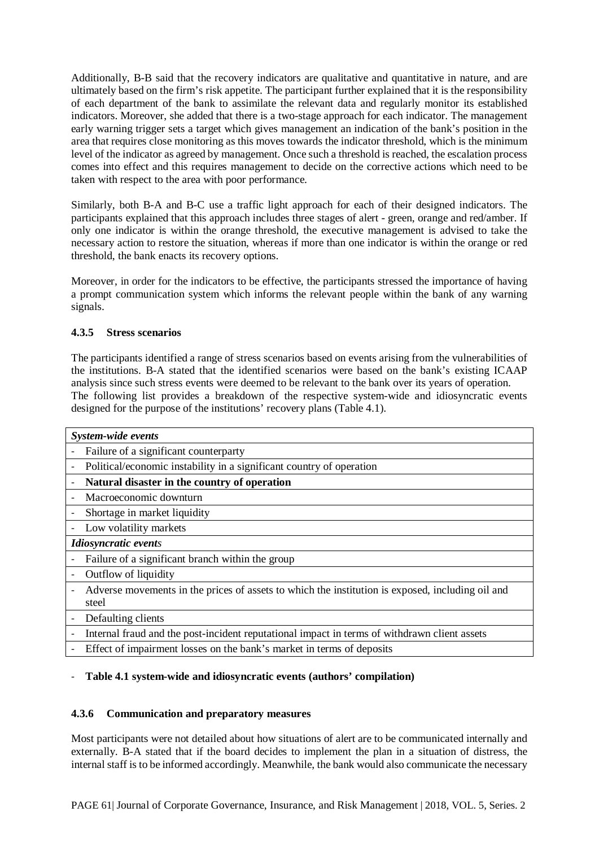Additionally, B-B said that the recovery indicators are qualitative and quantitative in nature, and are ultimately based on the firm's risk appetite. The participant further explained that it is the responsibility of each department of the bank to assimilate the relevant data and regularly monitor its established indicators. Moreover, she added that there is a two-stage approach for each indicator. The management early warning trigger sets a target which gives management an indication of the bank's position in the area that requires close monitoring as this moves towards the indicator threshold, which is the minimum level of the indicator as agreed by management. Once such a threshold is reached, the escalation process comes into effect and this requires management to decide on the corrective actions which need to be taken with respect to the area with poor performance.

Similarly, both B-A and B-C use a traffic light approach for each of their designed indicators. The participants explained that this approach includes three stages of alert - green, orange and red/amber. If only one indicator is within the orange threshold, the executive management is advised to take the necessary action to restore the situation, whereas if more than one indicator is within the orange or red threshold, the bank enacts its recovery options.

Moreover, in order for the indicators to be effective, the participants stressed the importance of having a prompt communication system which informs the relevant people within the bank of any warning signals.

# **4.3.5 Stress scenarios**

The participants identified a range of stress scenarios based on events arising from the vulnerabilities of the institutions. B-A stated that the identified scenarios were based on the bank's existing ICAAP analysis since such stress events were deemed to be relevant to the bank over its years of operation. The following list provides a breakdown of the respective system-wide and idiosyncratic events designed for the purpose of the institutions' recovery plans (Table 4.1).

|                          | System-wide events                                                                                        |
|--------------------------|-----------------------------------------------------------------------------------------------------------|
|                          | Failure of a significant counterparty                                                                     |
| $\overline{\phantom{a}}$ | Political/economic instability in a significant country of operation                                      |
|                          | Natural disaster in the country of operation                                                              |
|                          | Macroeconomic downturn                                                                                    |
|                          | Shortage in market liquidity                                                                              |
|                          | Low volatility markets                                                                                    |
|                          | <b>Idiosyncratic events</b>                                                                               |
|                          | Failure of a significant branch within the group                                                          |
|                          | Outflow of liquidity                                                                                      |
|                          | Adverse movements in the prices of assets to which the institution is exposed, including oil and<br>steel |
|                          | Defaulting clients                                                                                        |
|                          | Internal fraud and the post-incident reputational impact in terms of withdrawn client assets              |
|                          | Effect of impairment losses on the bank's market in terms of deposits                                     |

# - **Table 4.1 system-wide and idiosyncratic events (authors' compilation)**

# **4.3.6 Communication and preparatory measures**

Most participants were not detailed about how situations of alert are to be communicated internally and externally. B-A stated that if the board decides to implement the plan in a situation of distress, the internal staff is to be informed accordingly. Meanwhile, the bank would also communicate the necessary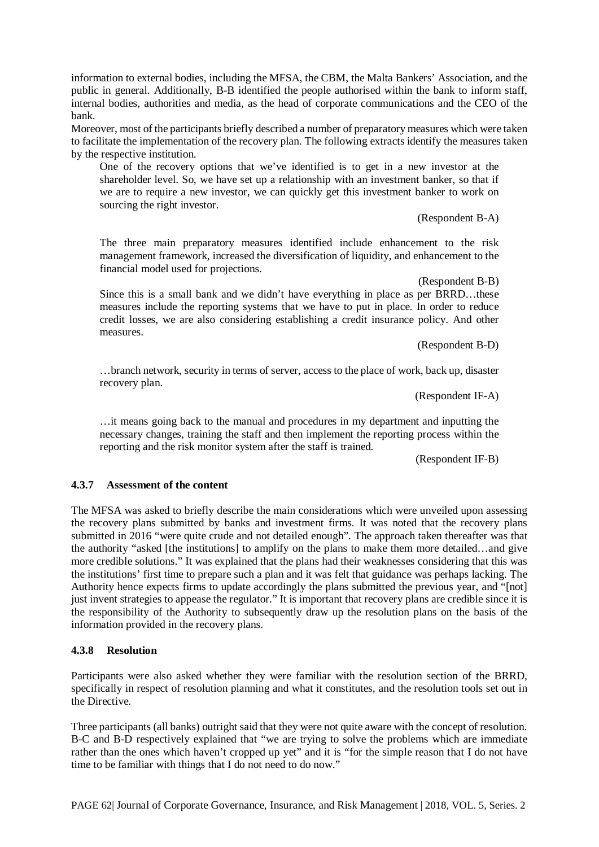information to external bodies, including the MFSA, the CBM, the Malta Bankers' Association, and the public in general. Additionally, B-B identified the people authorised within the bank to inform staff, internal bodies, authorities and media, as the head of corporate communications and the CEO of the bank.

Moreover, most of the participants briefly described a number of preparatory measures which were taken to facilitate the implementation of the recovery plan. The following extracts identify the measures taken by the respective institution.

One of the recovery options that we've identified is to get in a new investor at the shareholder level. So, we have set up a relationship with an investment banker, so that if we are to require a new investor, we can quickly get this investment banker to work on sourcing the right investor.

(Respondent B-A)

The three main preparatory measures identified include enhancement to the risk management framework, increased the diversification of liquidity, and enhancement to the financial model used for projections.

(Respondent B-B)

Since this is a small bank and we didn't have everything in place as per BRRD…these measures include the reporting systems that we have to put in place. In order to reduce credit losses, we are also considering establishing a credit insurance policy. And other measures.

(Respondent B-D)

…branch network, security in terms of server, access to the place of work, back up, disaster recovery plan.

(Respondent IF-A)

…it means going back to the manual and procedures in my department and inputting the necessary changes, training the staff and then implement the reporting process within the reporting and the risk monitor system after the staff is trained.

(Respondent IF-B)

#### **4.3.7 Assessment of the content**

The MFSA was asked to briefly describe the main considerations which were unveiled upon assessing the recovery plans submitted by banks and investment firms. It was noted that the recovery plans submitted in 2016 "were quite crude and not detailed enough". The approach taken thereafter was that the authority "asked [the institutions] to amplify on the plans to make them more detailed…and give more credible solutions." It was explained that the plans had their weaknesses considering that this was the institutions' first time to prepare such a plan and it was felt that guidance was perhaps lacking. The Authority hence expects firms to update accordingly the plans submitted the previous year, and "[not] just invent strategies to appease the regulator." It is important that recovery plans are credible since it is the responsibility of the Authority to subsequently draw up the resolution plans on the basis of the information provided in the recovery plans.

#### **4.3.8 Resolution**

Participants were also asked whether they were familiar with the resolution section of the BRRD, specifically in respect of resolution planning and what it constitutes, and the resolution tools set out in the Directive.

Three participants (all banks) outright said that they were not quite aware with the concept of resolution. B-C and B-D respectively explained that "we are trying to solve the problems which are immediate rather than the ones which haven't cropped up yet" and it is "for the simple reason that I do not have time to be familiar with things that I do not need to do now."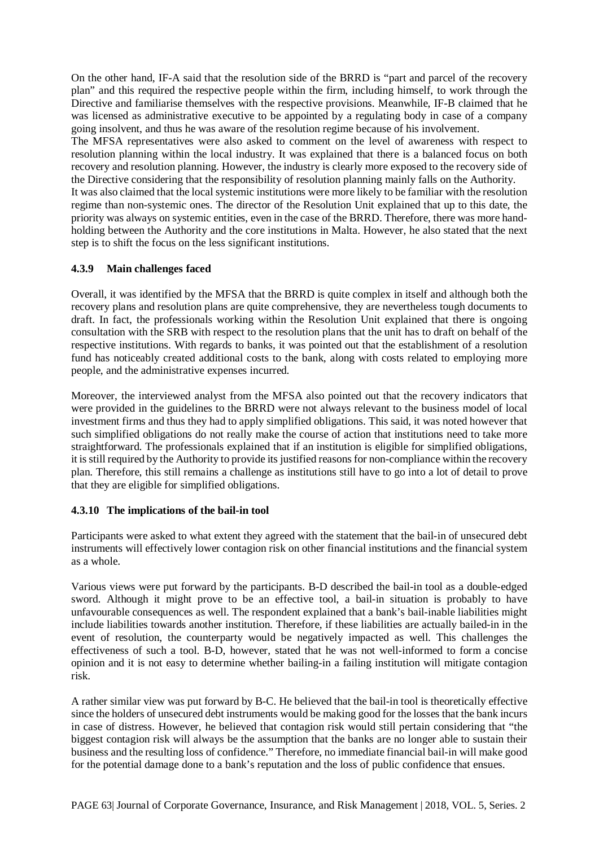On the other hand, IF-A said that the resolution side of the BRRD is "part and parcel of the recovery plan" and this required the respective people within the firm, including himself, to work through the Directive and familiarise themselves with the respective provisions. Meanwhile, IF-B claimed that he was licensed as administrative executive to be appointed by a regulating body in case of a company going insolvent, and thus he was aware of the resolution regime because of his involvement.

The MFSA representatives were also asked to comment on the level of awareness with respect to resolution planning within the local industry. It was explained that there is a balanced focus on both recovery and resolution planning. However, the industry is clearly more exposed to the recovery side of the Directive considering that the responsibility of resolution planning mainly falls on the Authority.

It was also claimed that the local systemic institutions were more likely to be familiar with the resolution regime than non-systemic ones. The director of the Resolution Unit explained that up to this date, the priority was always on systemic entities, even in the case of the BRRD. Therefore, there was more handholding between the Authority and the core institutions in Malta. However, he also stated that the next step is to shift the focus on the less significant institutions.

# **4.3.9 Main challenges faced**

Overall, it was identified by the MFSA that the BRRD is quite complex in itself and although both the recovery plans and resolution plans are quite comprehensive, they are nevertheless tough documents to draft. In fact, the professionals working within the Resolution Unit explained that there is ongoing consultation with the SRB with respect to the resolution plans that the unit has to draft on behalf of the respective institutions. With regards to banks, it was pointed out that the establishment of a resolution fund has noticeably created additional costs to the bank, along with costs related to employing more people, and the administrative expenses incurred.

Moreover, the interviewed analyst from the MFSA also pointed out that the recovery indicators that were provided in the guidelines to the BRRD were not always relevant to the business model of local investment firms and thus they had to apply simplified obligations. This said, it was noted however that such simplified obligations do not really make the course of action that institutions need to take more straightforward. The professionals explained that if an institution is eligible for simplified obligations, it is still required by the Authority to provide its justified reasons for non-compliance within the recovery plan. Therefore, this still remains a challenge as institutions still have to go into a lot of detail to prove that they are eligible for simplified obligations.

# **4.3.10 The implications of the bail-in tool**

Participants were asked to what extent they agreed with the statement that the bail-in of unsecured debt instruments will effectively lower contagion risk on other financial institutions and the financial system as a whole.

Various views were put forward by the participants. B-D described the bail-in tool as a double-edged sword. Although it might prove to be an effective tool, a bail-in situation is probably to have unfavourable consequences as well. The respondent explained that a bank's bail-inable liabilities might include liabilities towards another institution. Therefore, if these liabilities are actually bailed-in in the event of resolution, the counterparty would be negatively impacted as well. This challenges the effectiveness of such a tool. B-D, however, stated that he was not well-informed to form a concise opinion and it is not easy to determine whether bailing-in a failing institution will mitigate contagion risk.

A rather similar view was put forward by B-C. He believed that the bail-in tool is theoretically effective since the holders of unsecured debt instruments would be making good for the losses that the bank incurs in case of distress. However, he believed that contagion risk would still pertain considering that "the biggest contagion risk will always be the assumption that the banks are no longer able to sustain their business and the resulting loss of confidence." Therefore, no immediate financial bail-in will make good for the potential damage done to a bank's reputation and the loss of public confidence that ensues.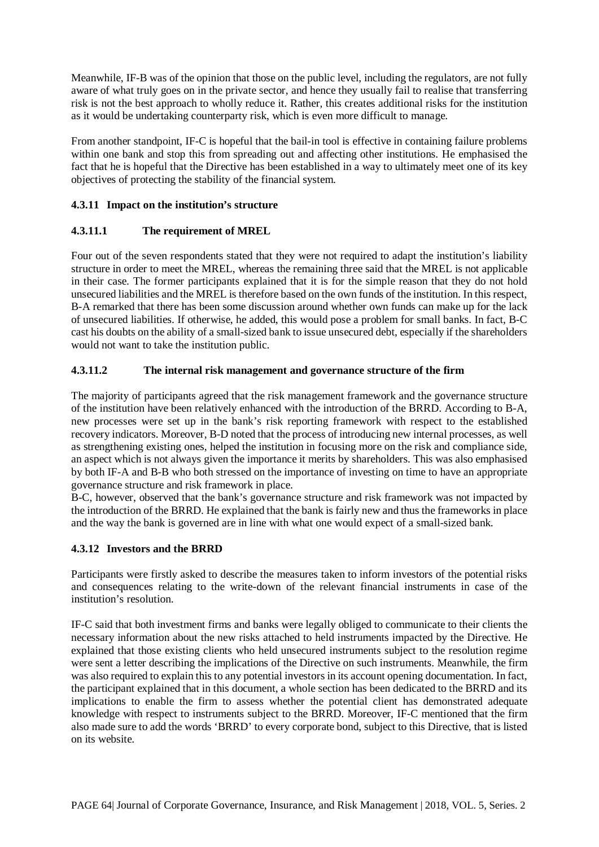Meanwhile, IF-B was of the opinion that those on the public level, including the regulators, are not fully aware of what truly goes on in the private sector, and hence they usually fail to realise that transferring risk is not the best approach to wholly reduce it. Rather, this creates additional risks for the institution as it would be undertaking counterparty risk, which is even more difficult to manage.

From another standpoint, IF-C is hopeful that the bail-in tool is effective in containing failure problems within one bank and stop this from spreading out and affecting other institutions. He emphasised the fact that he is hopeful that the Directive has been established in a way to ultimately meet one of its key objectives of protecting the stability of the financial system.

# **4.3.11 Impact on the institution's structure**

# **4.3.11.1 The requirement of MREL**

Four out of the seven respondents stated that they were not required to adapt the institution's liability structure in order to meet the MREL, whereas the remaining three said that the MREL is not applicable in their case. The former participants explained that it is for the simple reason that they do not hold unsecured liabilities and the MREL is therefore based on the own funds of the institution. In this respect, B-A remarked that there has been some discussion around whether own funds can make up for the lack of unsecured liabilities. If otherwise, he added, this would pose a problem for small banks. In fact, B-C cast his doubts on the ability of a small-sized bank to issue unsecured debt, especially if the shareholders would not want to take the institution public.

# **4.3.11.2 The internal risk management and governance structure of the firm**

The majority of participants agreed that the risk management framework and the governance structure of the institution have been relatively enhanced with the introduction of the BRRD. According to B-A, new processes were set up in the bank's risk reporting framework with respect to the established recovery indicators. Moreover, B-D noted that the process of introducing new internal processes, as well as strengthening existing ones, helped the institution in focusing more on the risk and compliance side, an aspect which is not always given the importance it merits by shareholders. This was also emphasised by both IF-A and B-B who both stressed on the importance of investing on time to have an appropriate governance structure and risk framework in place.

B-C, however, observed that the bank's governance structure and risk framework was not impacted by the introduction of the BRRD. He explained that the bank is fairly new and thus the frameworks in place and the way the bank is governed are in line with what one would expect of a small-sized bank.

# **4.3.12 Investors and the BRRD**

Participants were firstly asked to describe the measures taken to inform investors of the potential risks and consequences relating to the write-down of the relevant financial instruments in case of the institution's resolution.

IF-C said that both investment firms and banks were legally obliged to communicate to their clients the necessary information about the new risks attached to held instruments impacted by the Directive. He explained that those existing clients who held unsecured instruments subject to the resolution regime were sent a letter describing the implications of the Directive on such instruments. Meanwhile, the firm was also required to explain this to any potential investors in its account opening documentation. In fact, the participant explained that in this document, a whole section has been dedicated to the BRRD and its implications to enable the firm to assess whether the potential client has demonstrated adequate knowledge with respect to instruments subject to the BRRD. Moreover, IF-C mentioned that the firm also made sure to add the words 'BRRD' to every corporate bond, subject to this Directive, that is listed on its website.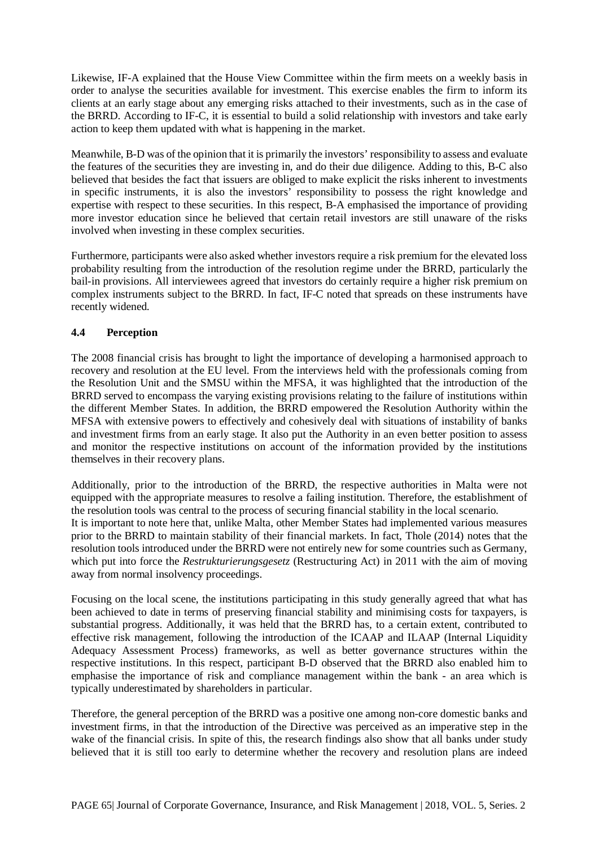Likewise, IF-A explained that the House View Committee within the firm meets on a weekly basis in order to analyse the securities available for investment. This exercise enables the firm to inform its clients at an early stage about any emerging risks attached to their investments, such as in the case of the BRRD. According to IF-C, it is essential to build a solid relationship with investors and take early action to keep them updated with what is happening in the market.

Meanwhile, B-D was of the opinion that it is primarily the investors' responsibility to assess and evaluate the features of the securities they are investing in, and do their due diligence. Adding to this, B-C also believed that besides the fact that issuers are obliged to make explicit the risks inherent to investments in specific instruments, it is also the investors' responsibility to possess the right knowledge and expertise with respect to these securities. In this respect, B-A emphasised the importance of providing more investor education since he believed that certain retail investors are still unaware of the risks involved when investing in these complex securities.

Furthermore, participants were also asked whether investors require a risk premium for the elevated loss probability resulting from the introduction of the resolution regime under the BRRD, particularly the bail-in provisions. All interviewees agreed that investors do certainly require a higher risk premium on complex instruments subject to the BRRD. In fact, IF-C noted that spreads on these instruments have recently widened.

#### **4.4 Perception**

The 2008 financial crisis has brought to light the importance of developing a harmonised approach to recovery and resolution at the EU level. From the interviews held with the professionals coming from the Resolution Unit and the SMSU within the MFSA, it was highlighted that the introduction of the BRRD served to encompass the varying existing provisions relating to the failure of institutions within the different Member States. In addition, the BRRD empowered the Resolution Authority within the MFSA with extensive powers to effectively and cohesively deal with situations of instability of banks and investment firms from an early stage. It also put the Authority in an even better position to assess and monitor the respective institutions on account of the information provided by the institutions themselves in their recovery plans.

Additionally, prior to the introduction of the BRRD, the respective authorities in Malta were not equipped with the appropriate measures to resolve a failing institution. Therefore, the establishment of the resolution tools was central to the process of securing financial stability in the local scenario. It is important to note here that, unlike Malta, other Member States had implemented various measures prior to the BRRD to maintain stability of their financial markets. In fact, Thole (2014) notes that the resolution tools introduced under the BRRD were not entirely new for some countries such as Germany, which put into force the *Restrukturierungsgesetz* (Restructuring Act) in 2011 with the aim of moving away from normal insolvency proceedings.

Focusing on the local scene, the institutions participating in this study generally agreed that what has been achieved to date in terms of preserving financial stability and minimising costs for taxpayers, is substantial progress. Additionally, it was held that the BRRD has, to a certain extent, contributed to effective risk management, following the introduction of the ICAAP and ILAAP (Internal Liquidity Adequacy Assessment Process) frameworks, as well as better governance structures within the respective institutions. In this respect, participant B-D observed that the BRRD also enabled him to emphasise the importance of risk and compliance management within the bank - an area which is typically underestimated by shareholders in particular.

Therefore, the general perception of the BRRD was a positive one among non-core domestic banks and investment firms, in that the introduction of the Directive was perceived as an imperative step in the wake of the financial crisis. In spite of this, the research findings also show that all banks under study believed that it is still too early to determine whether the recovery and resolution plans are indeed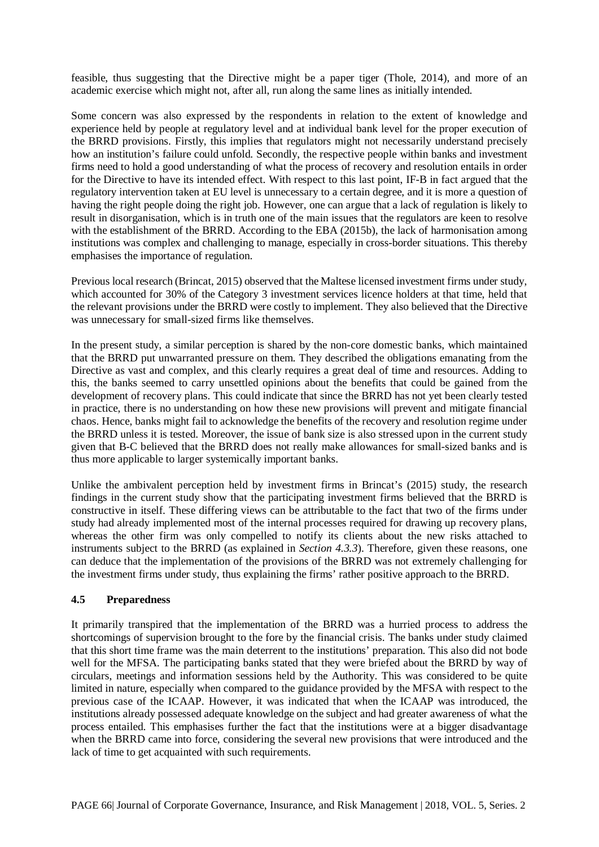feasible, thus suggesting that the Directive might be a paper tiger (Thole, 2014), and more of an academic exercise which might not, after all, run along the same lines as initially intended.

Some concern was also expressed by the respondents in relation to the extent of knowledge and experience held by people at regulatory level and at individual bank level for the proper execution of the BRRD provisions. Firstly, this implies that regulators might not necessarily understand precisely how an institution's failure could unfold. Secondly, the respective people within banks and investment firms need to hold a good understanding of what the process of recovery and resolution entails in order for the Directive to have its intended effect. With respect to this last point, IF-B in fact argued that the regulatory intervention taken at EU level is unnecessary to a certain degree, and it is more a question of having the right people doing the right job. However, one can argue that a lack of regulation is likely to result in disorganisation, which is in truth one of the main issues that the regulators are keen to resolve with the establishment of the BRRD. According to the EBA (2015b), the lack of harmonisation among institutions was complex and challenging to manage, especially in cross-border situations. This thereby emphasises the importance of regulation.

Previous local research (Brincat, 2015) observed that the Maltese licensed investment firms under study, which accounted for 30% of the Category 3 investment services licence holders at that time, held that the relevant provisions under the BRRD were costly to implement. They also believed that the Directive was unnecessary for small-sized firms like themselves.

In the present study, a similar perception is shared by the non-core domestic banks, which maintained that the BRRD put unwarranted pressure on them. They described the obligations emanating from the Directive as vast and complex, and this clearly requires a great deal of time and resources. Adding to this, the banks seemed to carry unsettled opinions about the benefits that could be gained from the development of recovery plans. This could indicate that since the BRRD has not yet been clearly tested in practice, there is no understanding on how these new provisions will prevent and mitigate financial chaos. Hence, banks might fail to acknowledge the benefits of the recovery and resolution regime under the BRRD unless it is tested. Moreover, the issue of bank size is also stressed upon in the current study given that B-C believed that the BRRD does not really make allowances for small-sized banks and is thus more applicable to larger systemically important banks.

Unlike the ambivalent perception held by investment firms in Brincat's (2015) study, the research findings in the current study show that the participating investment firms believed that the BRRD is constructive in itself. These differing views can be attributable to the fact that two of the firms under study had already implemented most of the internal processes required for drawing up recovery plans, whereas the other firm was only compelled to notify its clients about the new risks attached to instruments subject to the BRRD (as explained in *Section 4.3.3*). Therefore, given these reasons, one can deduce that the implementation of the provisions of the BRRD was not extremely challenging for the investment firms under study, thus explaining the firms' rather positive approach to the BRRD.

#### **4.5 Preparedness**

It primarily transpired that the implementation of the BRRD was a hurried process to address the shortcomings of supervision brought to the fore by the financial crisis. The banks under study claimed that this short time frame was the main deterrent to the institutions' preparation. This also did not bode well for the MFSA. The participating banks stated that they were briefed about the BRRD by way of circulars, meetings and information sessions held by the Authority. This was considered to be quite limited in nature, especially when compared to the guidance provided by the MFSA with respect to the previous case of the ICAAP. However, it was indicated that when the ICAAP was introduced, the institutions already possessed adequate knowledge on the subject and had greater awareness of what the process entailed. This emphasises further the fact that the institutions were at a bigger disadvantage when the BRRD came into force, considering the several new provisions that were introduced and the lack of time to get acquainted with such requirements.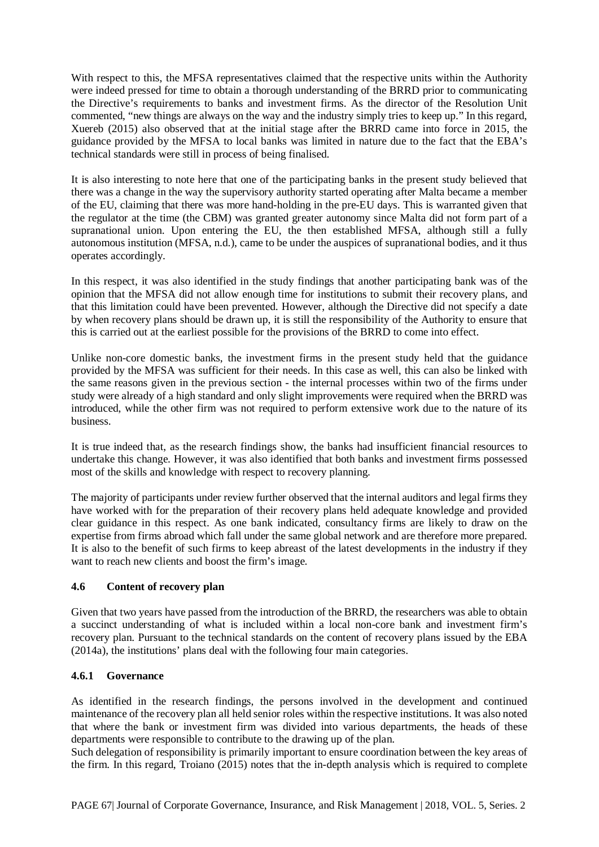With respect to this, the MFSA representatives claimed that the respective units within the Authority were indeed pressed for time to obtain a thorough understanding of the BRRD prior to communicating the Directive's requirements to banks and investment firms. As the director of the Resolution Unit commented, "new things are always on the way and the industry simply tries to keep up." In this regard, Xuereb (2015) also observed that at the initial stage after the BRRD came into force in 2015, the guidance provided by the MFSA to local banks was limited in nature due to the fact that the EBA's technical standards were still in process of being finalised.

It is also interesting to note here that one of the participating banks in the present study believed that there was a change in the way the supervisory authority started operating after Malta became a member of the EU, claiming that there was more hand-holding in the pre-EU days. This is warranted given that the regulator at the time (the CBM) was granted greater autonomy since Malta did not form part of a supranational union. Upon entering the EU, the then established MFSA, although still a fully autonomous institution (MFSA, n.d.), came to be under the auspices of supranational bodies, and it thus operates accordingly.

In this respect, it was also identified in the study findings that another participating bank was of the opinion that the MFSA did not allow enough time for institutions to submit their recovery plans, and that this limitation could have been prevented. However, although the Directive did not specify a date by when recovery plans should be drawn up, it is still the responsibility of the Authority to ensure that this is carried out at the earliest possible for the provisions of the BRRD to come into effect.

Unlike non-core domestic banks, the investment firms in the present study held that the guidance provided by the MFSA was sufficient for their needs. In this case as well, this can also be linked with the same reasons given in the previous section - the internal processes within two of the firms under study were already of a high standard and only slight improvements were required when the BRRD was introduced, while the other firm was not required to perform extensive work due to the nature of its business.

It is true indeed that, as the research findings show, the banks had insufficient financial resources to undertake this change. However, it was also identified that both banks and investment firms possessed most of the skills and knowledge with respect to recovery planning.

The majority of participants under review further observed that the internal auditors and legal firms they have worked with for the preparation of their recovery plans held adequate knowledge and provided clear guidance in this respect. As one bank indicated, consultancy firms are likely to draw on the expertise from firms abroad which fall under the same global network and are therefore more prepared. It is also to the benefit of such firms to keep abreast of the latest developments in the industry if they want to reach new clients and boost the firm's image.

# **4.6 Content of recovery plan**

Given that two years have passed from the introduction of the BRRD, the researchers was able to obtain a succinct understanding of what is included within a local non-core bank and investment firm's recovery plan. Pursuant to the technical standards on the content of recovery plans issued by the EBA (2014a), the institutions' plans deal with the following four main categories.

#### **4.6.1 Governance**

As identified in the research findings, the persons involved in the development and continued maintenance of the recovery plan all held senior roles within the respective institutions. It was also noted that where the bank or investment firm was divided into various departments, the heads of these departments were responsible to contribute to the drawing up of the plan.

Such delegation of responsibility is primarily important to ensure coordination between the key areas of the firm. In this regard, Troiano (2015) notes that the in-depth analysis which is required to complete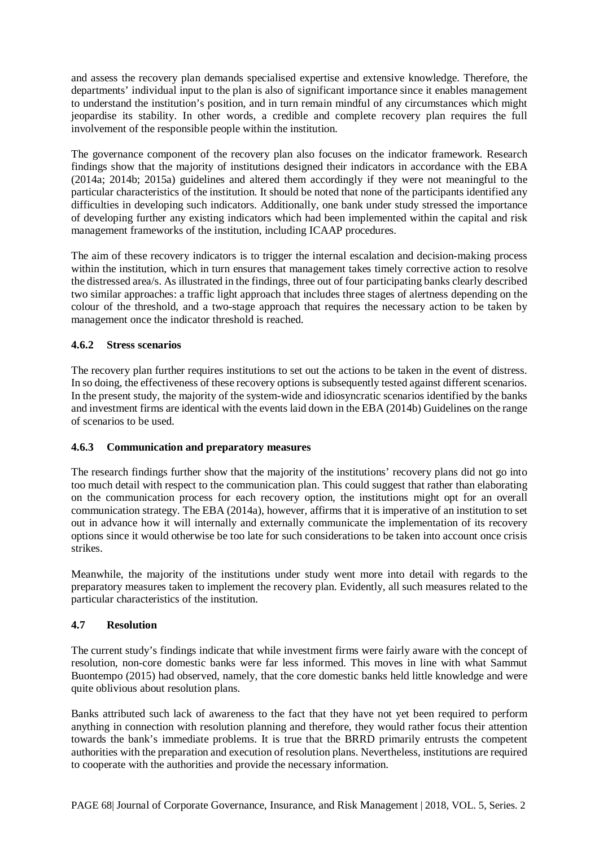and assess the recovery plan demands specialised expertise and extensive knowledge. Therefore, the departments' individual input to the plan is also of significant importance since it enables management to understand the institution's position, and in turn remain mindful of any circumstances which might jeopardise its stability. In other words, a credible and complete recovery plan requires the full involvement of the responsible people within the institution.

The governance component of the recovery plan also focuses on the indicator framework. Research findings show that the majority of institutions designed their indicators in accordance with the EBA (2014a; 2014b; 2015a) guidelines and altered them accordingly if they were not meaningful to the particular characteristics of the institution. It should be noted that none of the participants identified any difficulties in developing such indicators. Additionally, one bank under study stressed the importance of developing further any existing indicators which had been implemented within the capital and risk management frameworks of the institution, including ICAAP procedures.

The aim of these recovery indicators is to trigger the internal escalation and decision-making process within the institution, which in turn ensures that management takes timely corrective action to resolve the distressed area/s. As illustrated in the findings, three out of four participating banks clearly described two similar approaches: a traffic light approach that includes three stages of alertness depending on the colour of the threshold, and a two-stage approach that requires the necessary action to be taken by management once the indicator threshold is reached.

# **4.6.2 Stress scenarios**

The recovery plan further requires institutions to set out the actions to be taken in the event of distress. In so doing, the effectiveness of these recovery options is subsequently tested against different scenarios. In the present study, the majority of the system-wide and idiosyncratic scenarios identified by the banks and investment firms are identical with the events laid down in the EBA (2014b) Guidelines on the range of scenarios to be used.

# **4.6.3 Communication and preparatory measures**

The research findings further show that the majority of the institutions' recovery plans did not go into too much detail with respect to the communication plan. This could suggest that rather than elaborating on the communication process for each recovery option, the institutions might opt for an overall communication strategy. The EBA (2014a), however, affirms that it is imperative of an institution to set out in advance how it will internally and externally communicate the implementation of its recovery options since it would otherwise be too late for such considerations to be taken into account once crisis strikes.

Meanwhile, the majority of the institutions under study went more into detail with regards to the preparatory measures taken to implement the recovery plan. Evidently, all such measures related to the particular characteristics of the institution.

# **4.7 Resolution**

The current study's findings indicate that while investment firms were fairly aware with the concept of resolution, non-core domestic banks were far less informed. This moves in line with what Sammut Buontempo (2015) had observed, namely, that the core domestic banks held little knowledge and were quite oblivious about resolution plans.

Banks attributed such lack of awareness to the fact that they have not yet been required to perform anything in connection with resolution planning and therefore, they would rather focus their attention towards the bank's immediate problems. It is true that the BRRD primarily entrusts the competent authorities with the preparation and execution of resolution plans. Nevertheless, institutions are required to cooperate with the authorities and provide the necessary information.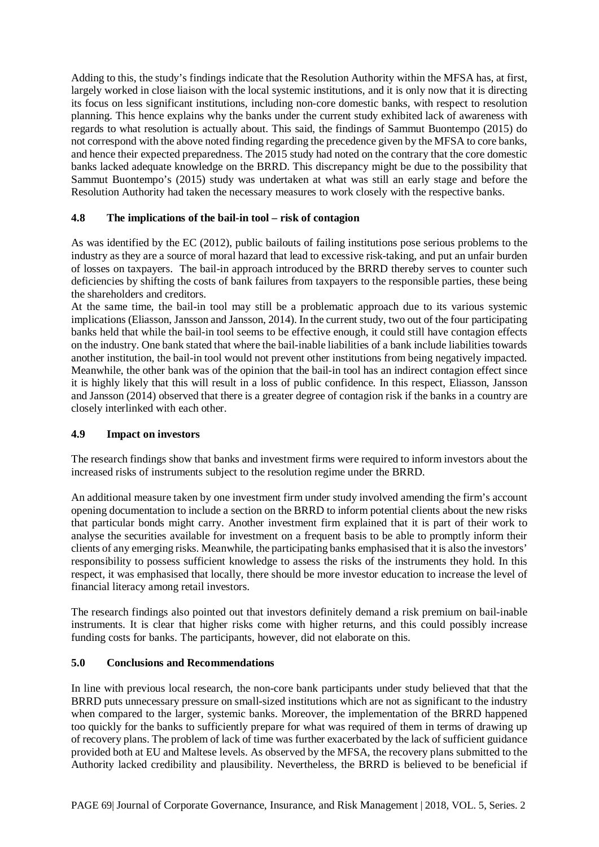Adding to this, the study's findings indicate that the Resolution Authority within the MFSA has, at first, largely worked in close liaison with the local systemic institutions, and it is only now that it is directing its focus on less significant institutions, including non-core domestic banks, with respect to resolution planning. This hence explains why the banks under the current study exhibited lack of awareness with regards to what resolution is actually about. This said, the findings of Sammut Buontempo (2015) do not correspond with the above noted finding regarding the precedence given by the MFSA to core banks, and hence their expected preparedness. The 2015 study had noted on the contrary that the core domestic banks lacked adequate knowledge on the BRRD. This discrepancy might be due to the possibility that Sammut Buontempo's (2015) study was undertaken at what was still an early stage and before the Resolution Authority had taken the necessary measures to work closely with the respective banks.

# **4.8 The implications of the bail-in tool – risk of contagion**

As was identified by the EC (2012), public bailouts of failing institutions pose serious problems to the industry as they are a source of moral hazard that lead to excessive risk-taking, and put an unfair burden of losses on taxpayers. The bail-in approach introduced by the BRRD thereby serves to counter such deficiencies by shifting the costs of bank failures from taxpayers to the responsible parties, these being the shareholders and creditors.

At the same time, the bail-in tool may still be a problematic approach due to its various systemic implications (Eliasson, Jansson and Jansson, 2014). In the current study, two out of the four participating banks held that while the bail-in tool seems to be effective enough, it could still have contagion effects on the industry. One bank stated that where the bail-inable liabilities of a bank include liabilities towards another institution, the bail-in tool would not prevent other institutions from being negatively impacted. Meanwhile, the other bank was of the opinion that the bail-in tool has an indirect contagion effect since it is highly likely that this will result in a loss of public confidence. In this respect, Eliasson, Jansson and Jansson (2014) observed that there is a greater degree of contagion risk if the banks in a country are closely interlinked with each other.

#### **4.9 Impact on investors**

The research findings show that banks and investment firms were required to inform investors about the increased risks of instruments subject to the resolution regime under the BRRD.

An additional measure taken by one investment firm under study involved amending the firm's account opening documentation to include a section on the BRRD to inform potential clients about the new risks that particular bonds might carry. Another investment firm explained that it is part of their work to analyse the securities available for investment on a frequent basis to be able to promptly inform their clients of any emerging risks. Meanwhile, the participating banks emphasised that it is also the investors' responsibility to possess sufficient knowledge to assess the risks of the instruments they hold. In this respect, it was emphasised that locally, there should be more investor education to increase the level of financial literacy among retail investors.

The research findings also pointed out that investors definitely demand a risk premium on bail-inable instruments. It is clear that higher risks come with higher returns, and this could possibly increase funding costs for banks. The participants, however, did not elaborate on this.

#### **5.0 Conclusions and Recommendations**

In line with previous local research, the non-core bank participants under study believed that that the BRRD puts unnecessary pressure on small-sized institutions which are not as significant to the industry when compared to the larger, systemic banks. Moreover, the implementation of the BRRD happened too quickly for the banks to sufficiently prepare for what was required of them in terms of drawing up of recovery plans. The problem of lack of time was further exacerbated by the lack of sufficient guidance provided both at EU and Maltese levels. As observed by the MFSA, the recovery plans submitted to the Authority lacked credibility and plausibility. Nevertheless, the BRRD is believed to be beneficial if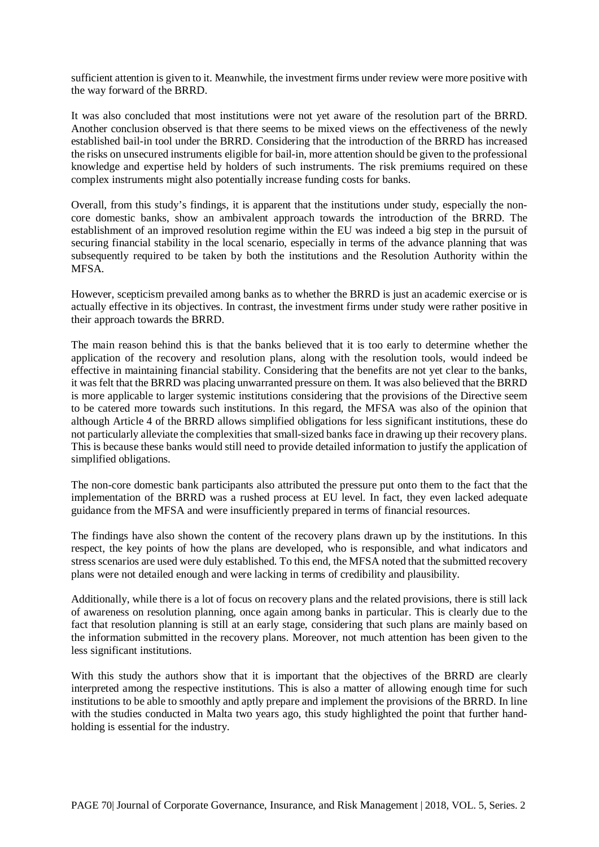sufficient attention is given to it. Meanwhile, the investment firms under review were more positive with the way forward of the BRRD.

It was also concluded that most institutions were not yet aware of the resolution part of the BRRD. Another conclusion observed is that there seems to be mixed views on the effectiveness of the newly established bail-in tool under the BRRD. Considering that the introduction of the BRRD has increased the risks on unsecured instruments eligible for bail-in, more attention should be given to the professional knowledge and expertise held by holders of such instruments. The risk premiums required on these complex instruments might also potentially increase funding costs for banks.

Overall, from this study's findings, it is apparent that the institutions under study, especially the noncore domestic banks, show an ambivalent approach towards the introduction of the BRRD. The establishment of an improved resolution regime within the EU was indeed a big step in the pursuit of securing financial stability in the local scenario, especially in terms of the advance planning that was subsequently required to be taken by both the institutions and the Resolution Authority within the MFSA.

However, scepticism prevailed among banks as to whether the BRRD is just an academic exercise or is actually effective in its objectives. In contrast, the investment firms under study were rather positive in their approach towards the BRRD.

The main reason behind this is that the banks believed that it is too early to determine whether the application of the recovery and resolution plans, along with the resolution tools, would indeed be effective in maintaining financial stability. Considering that the benefits are not yet clear to the banks, it was felt that the BRRD was placing unwarranted pressure on them. It was also believed that the BRRD is more applicable to larger systemic institutions considering that the provisions of the Directive seem to be catered more towards such institutions. In this regard, the MFSA was also of the opinion that although Article 4 of the BRRD allows simplified obligations for less significant institutions, these do not particularly alleviate the complexities that small-sized banks face in drawing up their recovery plans. This is because these banks would still need to provide detailed information to justify the application of simplified obligations.

The non-core domestic bank participants also attributed the pressure put onto them to the fact that the implementation of the BRRD was a rushed process at EU level. In fact, they even lacked adequate guidance from the MFSA and were insufficiently prepared in terms of financial resources.

The findings have also shown the content of the recovery plans drawn up by the institutions. In this respect, the key points of how the plans are developed, who is responsible, and what indicators and stress scenarios are used were duly established. To this end, the MFSA noted that the submitted recovery plans were not detailed enough and were lacking in terms of credibility and plausibility.

Additionally, while there is a lot of focus on recovery plans and the related provisions, there is still lack of awareness on resolution planning, once again among banks in particular. This is clearly due to the fact that resolution planning is still at an early stage, considering that such plans are mainly based on the information submitted in the recovery plans. Moreover, not much attention has been given to the less significant institutions.

With this study the authors show that it is important that the objectives of the BRRD are clearly interpreted among the respective institutions. This is also a matter of allowing enough time for such institutions to be able to smoothly and aptly prepare and implement the provisions of the BRRD. In line with the studies conducted in Malta two years ago, this study highlighted the point that further handholding is essential for the industry.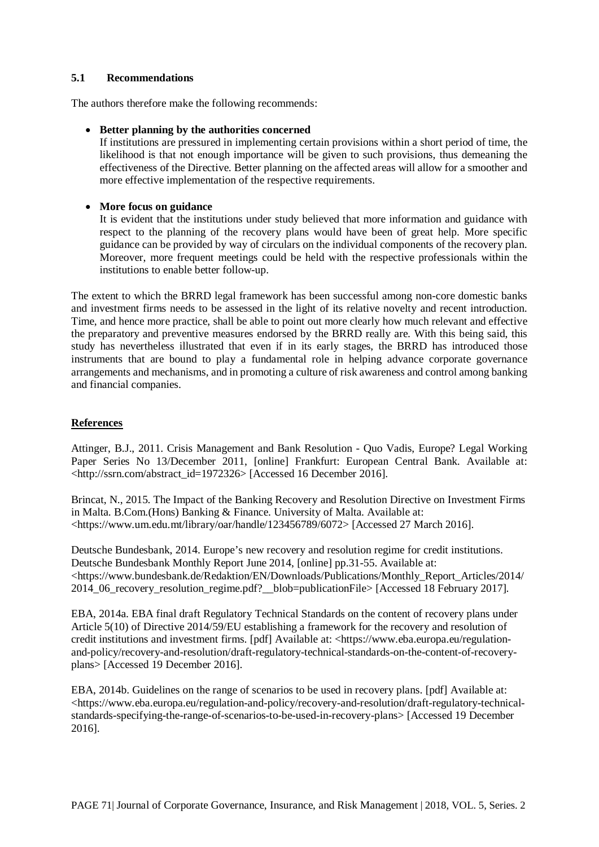#### **5.1 Recommendations**

The authors therefore make the following recommends:

#### • **Better planning by the authorities concerned**

If institutions are pressured in implementing certain provisions within a short period of time, the likelihood is that not enough importance will be given to such provisions, thus demeaning the effectiveness of the Directive. Better planning on the affected areas will allow for a smoother and more effective implementation of the respective requirements.

#### • **More focus on guidance**

It is evident that the institutions under study believed that more information and guidance with respect to the planning of the recovery plans would have been of great help. More specific guidance can be provided by way of circulars on the individual components of the recovery plan. Moreover, more frequent meetings could be held with the respective professionals within the institutions to enable better follow-up.

The extent to which the BRRD legal framework has been successful among non-core domestic banks and investment firms needs to be assessed in the light of its relative novelty and recent introduction. Time, and hence more practice, shall be able to point out more clearly how much relevant and effective the preparatory and preventive measures endorsed by the BRRD really are. With this being said, this study has nevertheless illustrated that even if in its early stages, the BRRD has introduced those instruments that are bound to play a fundamental role in helping advance corporate governance arrangements and mechanisms, and in promoting a culture of risk awareness and control among banking and financial companies.

# **References**

Attinger, B.J., 2011. Crisis Management and Bank Resolution - Quo Vadis, Europe? Legal Working Paper Series No 13/December 2011, [online] Frankfurt: European Central Bank. Available at: <http://ssrn.com/abstract\_id=1972326> [Accessed 16 December 2016].

Brincat, N., 2015. The Impact of the Banking Recovery and Resolution Directive on Investment Firms in Malta. B.Com.(Hons) Banking & Finance. University of Malta. Available at: <https://www.um.edu.mt/library/oar/handle/123456789/6072> [Accessed 27 March 2016].

Deutsche Bundesbank, 2014. Europe's new recovery and resolution regime for credit institutions. Deutsche Bundesbank Monthly Report June 2014, [online] pp.31-55. Available at: <https://www.bundesbank.de/Redaktion/EN/Downloads/Publications/Monthly\_Report\_Articles/2014/ 2014\_06\_recovery\_resolution\_regime.pdf?\_\_blob=publicationFile> [Accessed 18 February 2017].

EBA, 2014a. EBA final draft Regulatory Technical Standards on the content of recovery plans under Article 5(10) of Directive 2014/59/EU establishing a framework for the recovery and resolution of credit institutions and investment firms. [pdf] Available at: <https://www.eba.europa.eu/regulationand-policy/recovery-and-resolution/draft-regulatory-technical-standards-on-the-content-of-recoveryplans> [Accessed 19 December 2016].

EBA, 2014b. Guidelines on the range of scenarios to be used in recovery plans. [pdf] Available at: <https://www.eba.europa.eu/regulation-and-policy/recovery-and-resolution/draft-regulatory-technicalstandards-specifying-the-range-of-scenarios-to-be-used-in-recovery-plans> [Accessed 19 December 2016].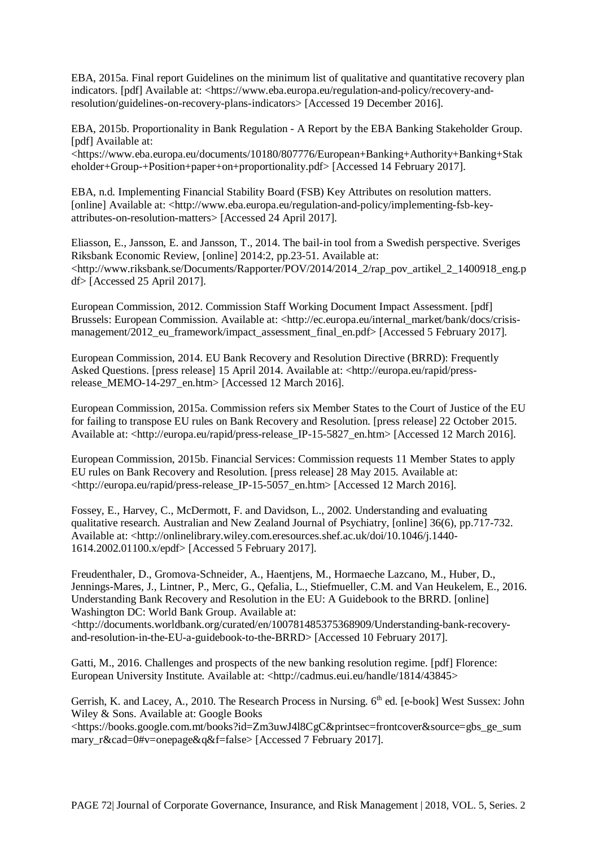EBA, 2015a. Final report Guidelines on the minimum list of qualitative and quantitative recovery plan indicators. [pdf] Available at: <https://www.eba.europa.eu/regulation-and-policy/recovery-andresolution/guidelines-on-recovery-plans-indicators> [Accessed 19 December 2016].

EBA, 2015b. Proportionality in Bank Regulation - A Report by the EBA Banking Stakeholder Group. [pdf] Available at:

<https://www.eba.europa.eu/documents/10180/807776/European+Banking+Authority+Banking+Stak eholder+Group-+Position+paper+on+proportionality.pdf> [Accessed 14 February 2017].

EBA, n.d. Implementing Financial Stability Board (FSB) Key Attributes on resolution matters. [online] Available at: <http://www.eba.europa.eu/regulation-and-policy/implementing-fsb-keyattributes-on-resolution-matters> [Accessed 24 April 2017].

Eliasson, E., Jansson, E. and Jansson, T., 2014. The bail-in tool from a Swedish perspective. Sveriges Riksbank Economic Review, [online] 2014:2, pp.23-51. Available at: <http://www.riksbank.se/Documents/Rapporter/POV/2014/2014\_2/rap\_pov\_artikel\_2\_1400918\_eng.p df> [Accessed 25 April 2017].

European Commission, 2012. Commission Staff Working Document Impact Assessment. [pdf] Brussels: European Commission. Available at: <http://ec.europa.eu/internal\_market/bank/docs/crisismanagement/2012\_eu\_framework/impact\_assessment\_final\_en.pdf> [Accessed 5 February 2017].

European Commission, 2014. EU Bank Recovery and Resolution Directive (BRRD): Frequently Asked Questions. [press release] 15 April 2014. Available at: <http://europa.eu/rapid/pressrelease\_MEMO-14-297\_en.htm> [Accessed 12 March 2016].

European Commission, 2015a. Commission refers six Member States to the Court of Justice of the EU for failing to transpose EU rules on Bank Recovery and Resolution. [press release] 22 October 2015. Available at: <http://europa.eu/rapid/press-release IP-15-5827 en.htm> [Accessed 12 March 2016].

European Commission, 2015b. Financial Services: Commission requests 11 Member States to apply EU rules on Bank Recovery and Resolution. [press release] 28 May 2015. Available at: <http://europa.eu/rapid/press-release\_IP-15-5057\_en.htm> [Accessed 12 March 2016].

Fossey, E., Harvey, C., McDermott, F. and Davidson, L., 2002. Understanding and evaluating qualitative research. Australian and New Zealand Journal of Psychiatry, [online] 36(6), pp.717-732. Available at: [<http://onlinelibrary.wiley.com.eresources.shef.ac.uk/doi/10.1046/j.1440-](http://onlinelibrary.wiley.com.eresources.shef.ac.uk/doi/10.1046/j.1440-1614.2002.01100.x/epdf) [1614.2002.01100.x/epdf>](http://onlinelibrary.wiley.com.eresources.shef.ac.uk/doi/10.1046/j.1440-1614.2002.01100.x/epdf) [Accessed 5 February 2017].

Freudenthaler, D., Gromova-Schneider, A., Haentjens, M., Hormaeche Lazcano, M., Huber, D., Jennings-Mares, J., Lintner, P., Merc, G., Qefalia, L., Stiefmueller, C.M. and Van Heukelem, E., 2016. Understanding Bank Recovery and Resolution in the EU: A Guidebook to the BRRD. [online] Washington DC: World Bank Group. Available at: <http://documents.worldbank.org/curated/en/100781485375368909/Understanding-bank-recovery-

and-resolution-in-the-EU-a-guidebook-to-the-BRRD> [Accessed 10 February 2017].

Gatti, M., 2016. Challenges and prospects of the new banking resolution regime. [pdf] Florence: European University Institute. Available at: <http://cadmus.eui.eu/handle/1814/43845>

Gerrish, K. and Lacey, A., 2010. The Research Process in Nursing. 6<sup>th</sup> ed. [e-book] West Sussex: John Wiley & Sons. Available at: Google Books

<https://books.google.com.mt/books?id=Zm3uwJ4l8CgC&printsec=frontcover&source=gbs\_ge\_sum mary r&cad=0#v=onepage&q&f=false> [Accessed 7 February 2017].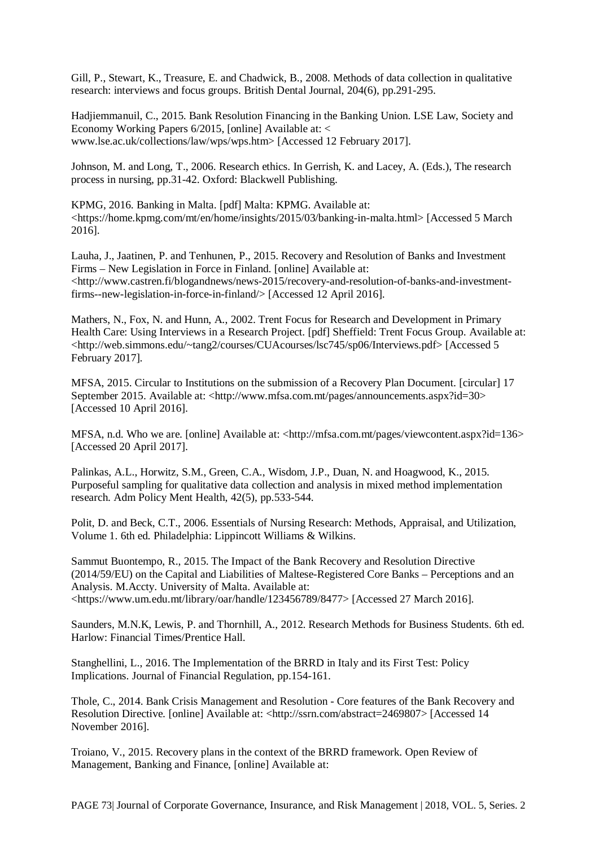Gill, P., Stewart, K., Treasure, E. and Chadwick, B., 2008. Methods of data collection in qualitative research: interviews and focus groups. British Dental Journal, 204(6), pp.291-295.

Hadjiemmanuil, C., 2015. Bank Resolution Financing in the Banking Union. LSE Law, Society and Economy Working Papers 6/2015, [online] Available at: < www.lse.ac.uk/collections/law/wps/wps.htm> [Accessed 12 February 2017].

Johnson, M. and Long, T., 2006. Research ethics. In Gerrish, K. and Lacey, A. (Eds.), The research process in nursing, pp.31-42. Oxford: Blackwell Publishing.

KPMG, 2016. Banking in Malta. [pdf] Malta: KPMG. Available at: <https://home.kpmg.com/mt/en/home/insights/2015/03/banking-in-malta.html> [Accessed 5 March 2016].

Lauha, J., Jaatinen, P. and Tenhunen, P., 2015. Recovery and Resolution of Banks and Investment Firms – New Legislation in Force in Finland. [online] Available at: <http://www.castren.fi/blogandnews/news-2015/recovery-and-resolution-of-banks-and-investmentfirms--new-legislation-in-force-in-finland/> [Accessed 12 April 2016].

Mathers, N., Fox, N. and Hunn, A., 2002. Trent Focus for Research and Development in Primary Health Care: Using Interviews in a Research Project. [pdf] Sheffield: Trent Focus Group. Available at: <http://web.simmons.edu/~tang2/courses/CUAcourses/lsc745/sp06/Interviews.pdf> [Accessed 5 February 2017].

MFSA, 2015. Circular to Institutions on the submission of a Recovery Plan Document. [circular] 17 September 2015. Available at: <http://www.mfsa.com.mt/pages/announcements.aspx?id=30> [Accessed 10 April 2016].

MFSA, n.d. Who we are. [online] Available at: <http://mfsa.com.mt/pages/viewcontent.aspx?id=136> [Accessed 20 April 2017].

Palinkas, A.L., Horwitz, S.M., Green, C.A., Wisdom, J.P., Duan, N. and Hoagwood, K., 2015. Purposeful sampling for qualitative data collection and analysis in mixed method implementation research. Adm Policy Ment Health, 42(5), pp.533-544.

Polit, D. and Beck, C.T., 2006. Essentials of Nursing Research: Methods, Appraisal, and Utilization, Volume 1. 6th ed. Philadelphia: Lippincott Williams & Wilkins.

Sammut Buontempo, R., 2015. The Impact of the Bank Recovery and Resolution Directive (2014/59/EU) on the Capital and Liabilities of Maltese-Registered Core Banks – Perceptions and an Analysis. M.Accty. University of Malta. Available at: <https://www.um.edu.mt/library/oar/handle/123456789/8477> [Accessed 27 March 2016].

Saunders, M.N.K, Lewis, P. and Thornhill, A., 2012. Research Methods for Business Students. 6th ed. Harlow: Financial Times/Prentice Hall.

Stanghellini, L., 2016. The Implementation of the BRRD in Italy and its First Test: Policy Implications. Journal of Financial Regulation, pp.154-161.

Thole, C., 2014. Bank Crisis Management and Resolution - Core features of the Bank Recovery and Resolution Directive. [online] Available at: <http://ssrn.com/abstract=2469807> [Accessed 14] November 2016].

Troiano, V., 2015. Recovery plans in the context of the BRRD framework. Open Review of Management, Banking and Finance, [online] Available at: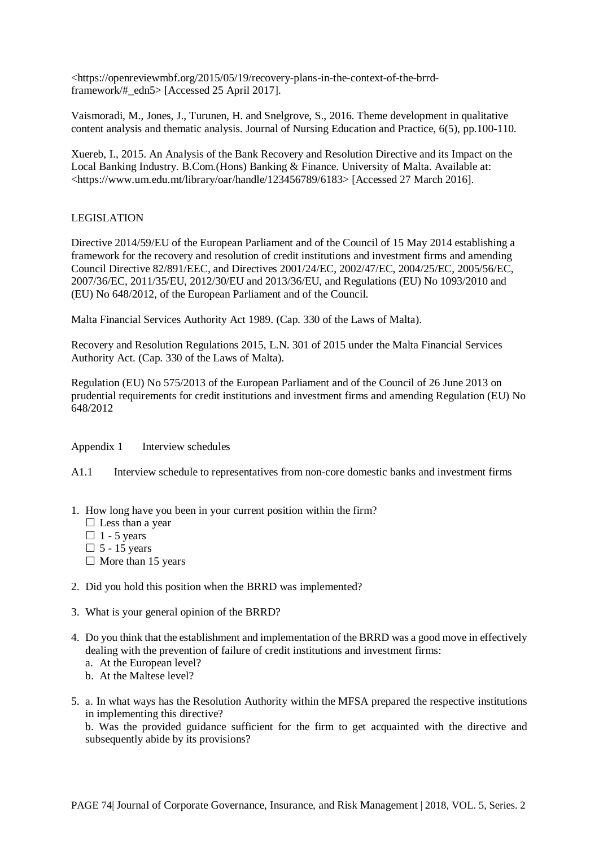<https://openreviewmbf.org/2015/05/19/recovery-plans-in-the-context-of-the-brrdframework/#\_edn5> [Accessed 25 April 2017].

Vaismoradi, M., Jones, J., Turunen, H. and Snelgrove, S., 2016. Theme development in qualitative content analysis and thematic analysis. Journal of Nursing Education and Practice, 6(5), pp.100-110.

Xuereb, I., 2015. An Analysis of the Bank Recovery and Resolution Directive and its Impact on the Local Banking Industry. B.Com.(Hons) Banking & Finance. University of Malta. Available at: <https://www.um.edu.mt/library/oar/handle/123456789/6183> [Accessed 27 March 2016].

#### LEGISLATION

Directive 2014/59/EU of the European Parliament and of the Council of 15 May 2014 establishing a framework for the recovery and resolution of credit institutions and investment firms and amending Council Directive 82/891/EEC, and Directives 2001/24/EC, 2002/47/EC, 2004/25/EC, 2005/56/EC, 2007/36/EC, 2011/35/EU, 2012/30/EU and 2013/36/EU, and Regulations (EU) No 1093/2010 and (EU) No 648/2012, of the European Parliament and of the Council.

Malta Financial Services Authority Act 1989. (Cap. 330 of the Laws of Malta).

Recovery and Resolution Regulations 2015, L.N. 301 of 2015 under the Malta Financial Services Authority Act. (Cap. 330 of the Laws of Malta).

Regulation (EU) No 575/2013 of the European Parliament and of the Council of 26 June 2013 on prudential requirements for credit institutions and investment firms and amending Regulation (EU) No 648/2012

Appendix 1 Interview schedules

A1.1 Interview schedule to representatives from non-core domestic banks and investment firms

- 1. How long have you been in your current position within the firm?
	- $\Box$  Less than a year
	- $\Box$  1 5 years
	- $\Box$  5 15 years
	- $\Box$  More than 15 years
- 2. Did you hold this position when the BRRD was implemented?
- 3. What is your general opinion of the BRRD?
- 4. Do you think that the establishment and implementation of the BRRD was a good move in effectively dealing with the prevention of failure of credit institutions and investment firms:
	- a. At the European level?
	- b. At the Maltese level?
- 5. a. In what ways has the Resolution Authority within the MFSA prepared the respective institutions in implementing this directive?

b. Was the provided guidance sufficient for the firm to get acquainted with the directive and subsequently abide by its provisions?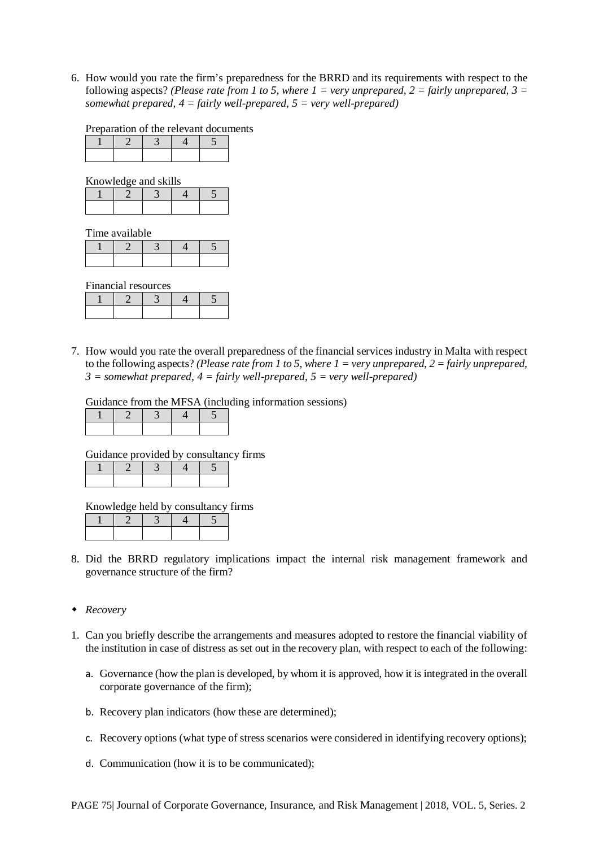6. How would you rate the firm's preparedness for the BRRD and its requirements with respect to the following aspects? *(Please rate from 1 to 5, where 1 = very unprepared, 2 = fairly unprepared, 3 = somewhat prepared, 4 = fairly well-prepared, 5 = very well-prepared)*

Preparation of the relevant documents

Knowledge and skills

Time available

Financial resources

7. How would you rate the overall preparedness of the financial services industry in Malta with respect to the following aspects? *(Please rate from 1 to 5, where 1 = very unprepared, 2 = fairly unprepared,*   $3 =$  somewhat prepared,  $4 =$  fairly well-prepared,  $5 =$  very well-prepared)

Guidance from the MFSA (including information sessions)

Guidance provided by consultancy firms

Knowledge held by consultancy firms

- 8. Did the BRRD regulatory implications impact the internal risk management framework and governance structure of the firm?
- *Recovery*
- 1. Can you briefly describe the arrangements and measures adopted to restore the financial viability of the institution in case of distress as set out in the recovery plan, with respect to each of the following:
	- a. Governance (how the plan is developed, by whom it is approved, how it is integrated in the overall corporate governance of the firm);
	- b. Recovery plan indicators (how these are determined);
	- c. Recovery options (what type of stress scenarios were considered in identifying recovery options);
	- d. Communication (how it is to be communicated);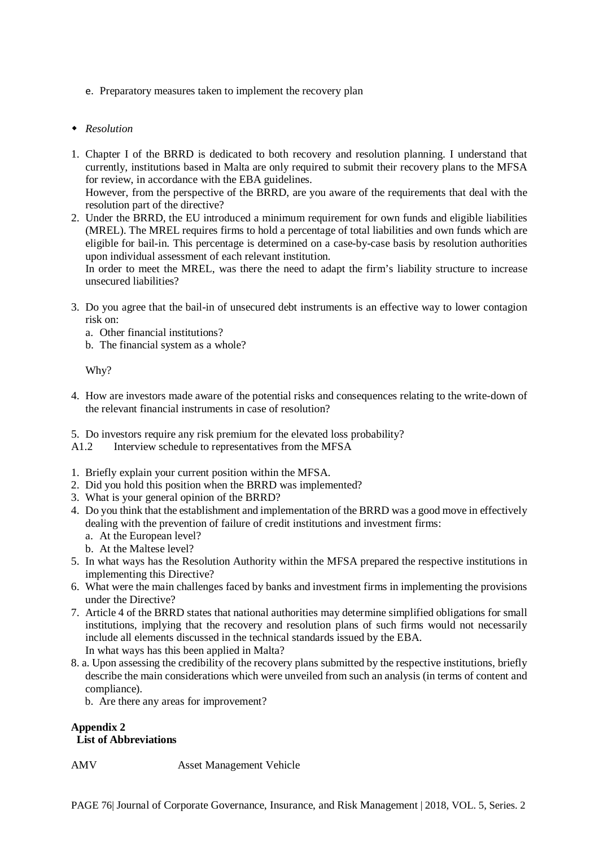e. Preparatory measures taken to implement the recovery plan

#### *Resolution*

- 1. Chapter I of the BRRD is dedicated to both recovery and resolution planning. I understand that currently, institutions based in Malta are only required to submit their recovery plans to the MFSA for review, in accordance with the EBA guidelines. However, from the perspective of the BRRD, are you aware of the requirements that deal with the resolution part of the directive?
- 2. Under the BRRD, the EU introduced a minimum requirement for own funds and eligible liabilities (MREL). The MREL requires firms to hold a percentage of total liabilities and own funds which are eligible for bail-in. This percentage is determined on a case-by-case basis by resolution authorities upon individual assessment of each relevant institution.

In order to meet the MREL, was there the need to adapt the firm's liability structure to increase unsecured liabilities?

- 3. Do you agree that the bail-in of unsecured debt instruments is an effective way to lower contagion risk on:
	- a. Other financial institutions?
	- b. The financial system as a whole?

Why?

- 4. How are investors made aware of the potential risks and consequences relating to the write-down of the relevant financial instruments in case of resolution?
- 5. Do investors require any risk premium for the elevated loss probability?
- A1.2 Interview schedule to representatives from the MFSA
- 1. Briefly explain your current position within the MFSA.
- 2. Did you hold this position when the BRRD was implemented?
- 3. What is your general opinion of the BRRD?
- 4. Do you think that the establishment and implementation of the BRRD was a good move in effectively dealing with the prevention of failure of credit institutions and investment firms:
	- a. At the European level?
	- b. At the Maltese level?
- 5. In what ways has the Resolution Authority within the MFSA prepared the respective institutions in implementing this Directive?
- 6. What were the main challenges faced by banks and investment firms in implementing the provisions under the Directive?
- 7. Article 4 of the BRRD states that national authorities may determine simplified obligations for small institutions, implying that the recovery and resolution plans of such firms would not necessarily include all elements discussed in the technical standards issued by the EBA. In what ways has this been applied in Malta?
- 8. a. Upon assessing the credibility of the recovery plans submitted by the respective institutions, briefly describe the main considerations which were unveiled from such an analysis (in terms of content and compliance).
	- b. Are there any areas for improvement?

# **Appendix 2**

**List of Abbreviations**

AMV Asset Management Vehicle